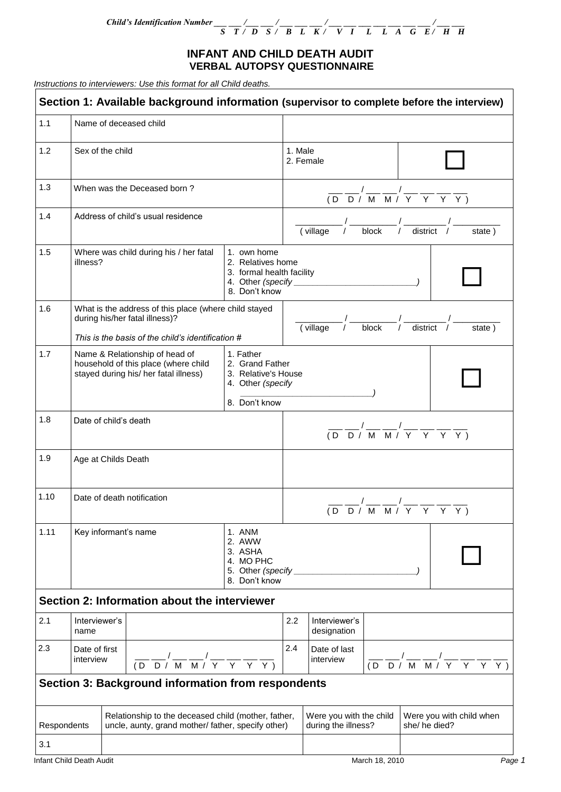*Child's Identification Number \_\_\_ \_\_\_ /\_\_\_ \_\_\_ / \_\_\_ \_\_\_ \_\_\_ / \_\_\_ \_\_\_ \_\_\_ \_\_\_ \_\_\_ \_\_\_ \_\_\_ / \_\_\_ \_\_\_ S T / D S / B L K / V I L L A G E / H H*

## **INFANT AND CHILD DEATH AUDIT VERBAL AUTOPSY QUESTIONNAIRE**

*Instructions to interviewers: Use this format for all Child deaths.* 

| 1.1         |                            | Name of deceased child                                                                                                   |                                                                                                                          |                                                                                                              |                      |                                                                                                                     |  |                                                                                                                          |                                                                                                        |
|-------------|----------------------------|--------------------------------------------------------------------------------------------------------------------------|--------------------------------------------------------------------------------------------------------------------------|--------------------------------------------------------------------------------------------------------------|----------------------|---------------------------------------------------------------------------------------------------------------------|--|--------------------------------------------------------------------------------------------------------------------------|--------------------------------------------------------------------------------------------------------|
|             |                            |                                                                                                                          |                                                                                                                          |                                                                                                              |                      |                                                                                                                     |  |                                                                                                                          |                                                                                                        |
| 1.2         | Sex of the child           |                                                                                                                          |                                                                                                                          |                                                                                                              | 1. Male<br>2. Female |                                                                                                                     |  |                                                                                                                          |                                                                                                        |
| 1.3         |                            | When was the Deceased born?                                                                                              |                                                                                                                          |                                                                                                              |                      |                                                                                                                     |  | $\frac{1}{(D - D)^\prime M} \frac{1}{M} \frac{1}{N} \frac{1}{\gamma} \frac{1}{\gamma} \frac{1}{\gamma} \frac{1}{\gamma}$ |                                                                                                        |
| 1.4         |                            | Address of child's usual residence                                                                                       |                                                                                                                          |                                                                                                              |                      | $\frac{1}{\text{(village)}}$ / $\frac{1}{\text{block}}$ / $\frac{1}{\text{distlict}}$ / $\frac{1}{\text{distlict}}$ |  |                                                                                                                          | state)                                                                                                 |
| 1.5         | illness?                   | Where was child during his / her fatal<br>1. own home<br>2. Relatives home<br>3. formal health facility<br>8. Don't know |                                                                                                                          |                                                                                                              |                      |                                                                                                                     |  |                                                                                                                          |                                                                                                        |
| 1.6         |                            | during his/her fatal illness)?                                                                                           | What is the address of this place (where child stayed                                                                    |                                                                                                              |                      | $\frac{1}{\text{(village)}}$ / $\frac{1}{\text{block}}$ / $\frac{1}{\text{distinct}}$ / $\frac{1}{\text{distinct}}$ |  |                                                                                                                          | $\overline{\text{state}}$ )                                                                            |
|             |                            |                                                                                                                          | This is the basis of the child's identification #                                                                        |                                                                                                              |                      |                                                                                                                     |  |                                                                                                                          |                                                                                                        |
| 1.7         |                            | Name & Relationship of head of<br>household of this place (where child<br>stayed during his/ her fatal illness)          |                                                                                                                          | 1. Father<br>2. Grand Father<br>3. Relative's House<br>4. Other (specify<br>8. Don't know                    |                      |                                                                                                                     |  |                                                                                                                          |                                                                                                        |
| 1.8         | Date of child's death      |                                                                                                                          |                                                                                                                          | $\frac{1}{(D - D)^\prime M} \frac{1}{M} \frac{1}{\gamma} \frac{1}{\gamma} \frac{1}{\gamma} \frac{1}{\gamma}$ |                      |                                                                                                                     |  |                                                                                                                          |                                                                                                        |
| 1.9         |                            | Age at Childs Death                                                                                                      |                                                                                                                          |                                                                                                              |                      |                                                                                                                     |  |                                                                                                                          |                                                                                                        |
| 1.10        |                            | Date of death notification                                                                                               |                                                                                                                          |                                                                                                              |                      |                                                                                                                     |  | $\frac{1}{(D - D)^\prime M} \frac{1}{M} \frac{1}{\gamma} \frac{1}{\gamma} \frac{1}{\gamma} \frac{1}{\gamma}$             |                                                                                                        |
| 1.11        |                            | Key informant's name                                                                                                     |                                                                                                                          | 1. ANM<br>2. AWW<br>3. ASHA<br>4. MO PHC<br>8. Don't know                                                    |                      |                                                                                                                     |  |                                                                                                                          |                                                                                                        |
|             |                            |                                                                                                                          | Section 2: Information about the interviewer                                                                             |                                                                                                              |                      |                                                                                                                     |  |                                                                                                                          |                                                                                                        |
| 2.1         | Interviewer's<br>name      |                                                                                                                          |                                                                                                                          |                                                                                                              | 2.2                  | Interviewer's<br>designation                                                                                        |  |                                                                                                                          |                                                                                                        |
| 2.3         | Date of first<br>interview |                                                                                                                          | $\frac{1}{(D - D)^\prime M} \frac{1}{M} \frac{1}{N} \frac{1}{\gamma} \frac{1}{\gamma} \frac{1}{\gamma} \frac{1}{\gamma}$ |                                                                                                              | 2.4                  | Date of last<br>interview                                                                                           |  |                                                                                                                          | $\frac{1}{(D \ D /\ M \ M \gamma} \frac{1}{\gamma} \frac{1}{\gamma} \frac{1}{\gamma} \frac{1}{\gamma}$ |
|             |                            |                                                                                                                          | Section 3: Background information from respondents                                                                       |                                                                                                              |                      |                                                                                                                     |  |                                                                                                                          |                                                                                                        |
|             |                            |                                                                                                                          |                                                                                                                          | Relationship to the deceased child (mother, father,                                                          |                      | Were you with the child                                                                                             |  |                                                                                                                          | Were you with child when                                                                               |
| Respondents |                            |                                                                                                                          | uncle, aunty, grand mother/ father, specify other)                                                                       |                                                                                                              |                      | during the illness?                                                                                                 |  | she/he died?                                                                                                             |                                                                                                        |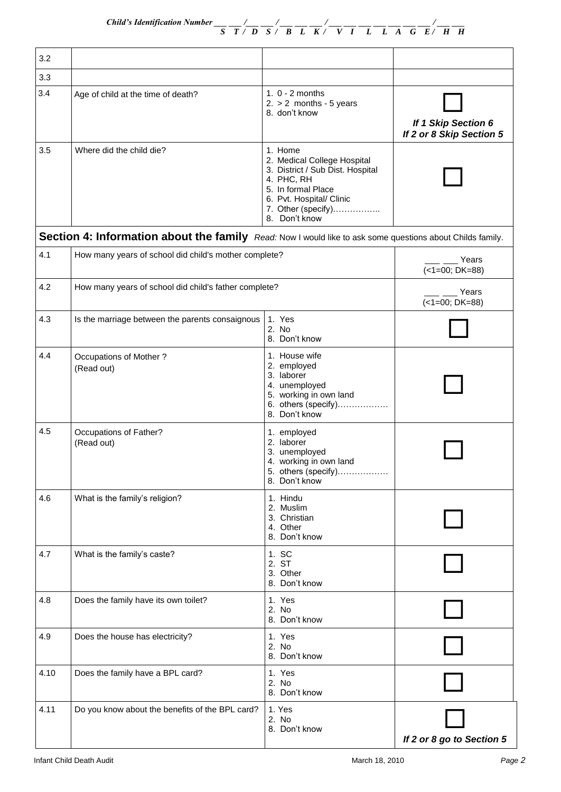| 3.2  |                                                                                                           |                                                                                                                                                                                   |                                                        |
|------|-----------------------------------------------------------------------------------------------------------|-----------------------------------------------------------------------------------------------------------------------------------------------------------------------------------|--------------------------------------------------------|
| 3.3  |                                                                                                           |                                                                                                                                                                                   |                                                        |
| 3.4  | Age of child at the time of death?                                                                        | 1. $0 - 2$ months<br>$2. > 2$ months - 5 years<br>8. don't know                                                                                                                   | <b>If 1 Skip Section 6</b><br>If 2 or 8 Skip Section 5 |
| 3.5  | Where did the child die?                                                                                  | 1. Home<br>2. Medical College Hospital<br>3. District / Sub Dist. Hospital<br>4. PHC, RH<br>5. In formal Place<br>6. Pvt. Hospital/ Clinic<br>7. Other (specify)<br>8. Don't know |                                                        |
|      | Section 4: Information about the family Read: Now I would like to ask some questions about Childs family. |                                                                                                                                                                                   |                                                        |
| 4.1  | How many years of school did child's mother complete?                                                     |                                                                                                                                                                                   | Years<br>$(<1=00; DK=88)$                              |
| 4.2  | How many years of school did child's father complete?                                                     |                                                                                                                                                                                   | Years<br>$(<1=00; DK=88)$                              |
| 4.3  | Is the marriage between the parents consaignous                                                           | 1. Yes<br>2. No<br>8. Don't know                                                                                                                                                  |                                                        |
| 4.4  | Occupations of Mother?<br>(Read out)                                                                      | 1. House wife<br>2. employed<br>3. laborer<br>4. unemployed<br>5. working in own land<br>6. others (specify)<br>8. Don't know                                                     |                                                        |
| 4.5  | Occupations of Father?<br>(Read out)                                                                      | 1. employed<br>2. laborer<br>3. unemployed<br>4. working in own land<br>5. others (specify)<br>8. Don't know                                                                      |                                                        |
| 4.6  | What is the family's religion?                                                                            | 1. Hindu<br>2. Muslim<br>3. Christian<br>4. Other<br>8. Don't know                                                                                                                |                                                        |
| 4.7  | What is the family's caste?                                                                               | 1. SC<br>2. ST<br>3. Other<br>8. Don't know                                                                                                                                       |                                                        |
| 4.8  | Does the family have its own toilet?                                                                      | 1. Yes<br>2. No<br>8. Don't know                                                                                                                                                  |                                                        |
| 4.9  | Does the house has electricity?                                                                           | 1. Yes<br>2. No<br>8. Don't know                                                                                                                                                  |                                                        |
| 4.10 | Does the family have a BPL card?                                                                          | 1. Yes<br>2. No<br>8. Don't know                                                                                                                                                  |                                                        |
| 4.11 | Do you know about the benefits of the BPL card?                                                           | 1. Yes<br>2. No<br>8. Don't know                                                                                                                                                  | If 2 or 8 go to Section 5                              |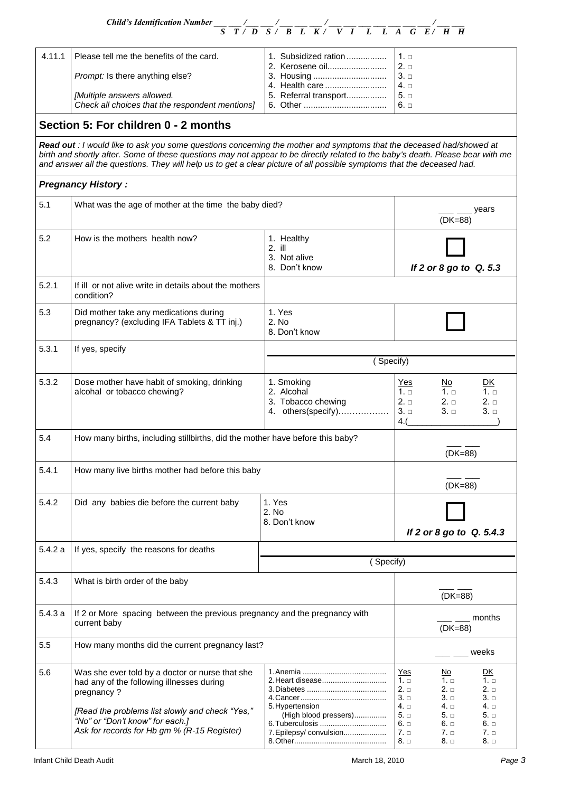|        | Child's Identification Number $\frac{1}{S}$ $\frac{1}{T}$ $\frac{1}{D}$ $\frac{1}{S}$ $\frac{1}{S}$ $\frac{1}{B}$ $\frac{1}{L}$ $\frac{1}{K}$ $\frac{1}{V}$ $\frac{1}{I}$ $\frac{1}{L}$ $\frac{1}{A}$ $\frac{1}{G}$ $\frac{1}{E}$ $\frac{1}{H}$ $\frac{1}{H}$                                                                                                                     |                                                                                    |                                                                                                                                                                                |
|--------|-----------------------------------------------------------------------------------------------------------------------------------------------------------------------------------------------------------------------------------------------------------------------------------------------------------------------------------------------------------------------------------|------------------------------------------------------------------------------------|--------------------------------------------------------------------------------------------------------------------------------------------------------------------------------|
|        |                                                                                                                                                                                                                                                                                                                                                                                   |                                                                                    |                                                                                                                                                                                |
| 4.11.1 | Please tell me the benefits of the card.<br>Prompt: Is there anything else?<br>[Multiple answers allowed.                                                                                                                                                                                                                                                                         | 1. Subsidized ration<br>2. Kerosene oil<br>4. Health care<br>5. Referral transport | $1. \Box$<br>$2. \Box$<br>$3. \Box$<br>$4. \Box$<br>$5. \Box$                                                                                                                  |
|        | Check all choices that the respondent mentions]                                                                                                                                                                                                                                                                                                                                   |                                                                                    | 6. □                                                                                                                                                                           |
|        | Section 5: For children 0 - 2 months                                                                                                                                                                                                                                                                                                                                              |                                                                                    |                                                                                                                                                                                |
|        | Read out : I would like to ask you some questions concerning the mother and symptoms that the deceased had/showed at<br>birth and shortly after. Some of these questions may not appear to be directly related to the baby's death. Please bear with me<br>and answer all the questions. They will help us to get a clear picture of all possible symptoms that the deceased had. |                                                                                    |                                                                                                                                                                                |
|        | <b>Pregnancy History:</b>                                                                                                                                                                                                                                                                                                                                                         |                                                                                    |                                                                                                                                                                                |
| 5.1    | What was the age of mother at the time the baby died?                                                                                                                                                                                                                                                                                                                             |                                                                                    | years<br>$(DK=88)$                                                                                                                                                             |
| 5.2    | How is the mothers health now?                                                                                                                                                                                                                                                                                                                                                    | 1. Healthy<br>$2.$ ill<br>3. Not alive<br>8. Don't know                            | If 2 or 8 go to Q. 5.3                                                                                                                                                         |
| 5.2.1  | If ill or not alive write in details about the mothers<br>condition?                                                                                                                                                                                                                                                                                                              |                                                                                    |                                                                                                                                                                                |
| 5.3    | Did mother take any medications during<br>pregnancy? (excluding IFA Tablets & TT inj.)                                                                                                                                                                                                                                                                                            | 1. Yes<br>2. No<br>8. Don't know                                                   |                                                                                                                                                                                |
| 5.3.1  | If yes, specify                                                                                                                                                                                                                                                                                                                                                                   |                                                                                    |                                                                                                                                                                                |
|        |                                                                                                                                                                                                                                                                                                                                                                                   | (Specify)                                                                          |                                                                                                                                                                                |
| 5.3.2  | Dose mother have habit of smoking, drinking<br>alcohal or tobacco chewing?                                                                                                                                                                                                                                                                                                        | 1. Smoking<br>2. Alcohal<br>3. Tobacco chewing<br>4. others(specify)               | Yes<br>DK<br>No.<br>$1. \square$<br>$1. \Box$<br>$1. \Box$<br>$2. \Box$<br>$2. \Box$<br>$2. \Box$<br>$3. \square$<br>$3. \Box$<br>$3. \Box$<br>4.(                             |
| 5.4    | How many births, including stillbirths, did the mother have before this baby?                                                                                                                                                                                                                                                                                                     |                                                                                    | $(DK=88)$                                                                                                                                                                      |
| 5.4.1  | How many live births mother had before this baby                                                                                                                                                                                                                                                                                                                                  |                                                                                    | $(DK=88)$                                                                                                                                                                      |
| 5.4.2  | Did any babies die before the current baby                                                                                                                                                                                                                                                                                                                                        | 1. Yes<br>2. No<br>8. Don't know                                                   | If 2 or 8 go to Q. 5.4.3                                                                                                                                                       |
| 5.4.2a | If yes, specify the reasons for deaths                                                                                                                                                                                                                                                                                                                                            |                                                                                    |                                                                                                                                                                                |
|        |                                                                                                                                                                                                                                                                                                                                                                                   | (Specify)                                                                          |                                                                                                                                                                                |
| 5.4.3  | What is birth order of the baby                                                                                                                                                                                                                                                                                                                                                   |                                                                                    | $(DK=88)$                                                                                                                                                                      |
| 5.4.3a | If 2 or More spacing between the previous pregnancy and the pregnancy with<br>current baby                                                                                                                                                                                                                                                                                        |                                                                                    | months<br>(DK=88)                                                                                                                                                              |
| 5.5    | How many months did the current pregnancy last?                                                                                                                                                                                                                                                                                                                                   |                                                                                    | weeks                                                                                                                                                                          |
| 5.6    | Was she ever told by a doctor or nurse that she<br>had any of the following illnesses during<br>pregnancy?<br>[Read the problems list slowly and check "Yes,"                                                                                                                                                                                                                     | 5. Hypertension                                                                    | Yes<br><u>DK</u><br>No.<br>$1. \Box$<br>$1. \Box$<br>1. □<br>$2. \Box$<br>$2. \Box$<br>$2. \Box$<br>$3. \Box$<br>$3. \Box$<br>$3. \Box$<br>$4. \Box$<br>$4. \Box$<br>$4. \Box$ |
|        | "No" or "Don't know" for each.]<br>Ask for records for Hb gm % (R-15 Register)                                                                                                                                                                                                                                                                                                    | (High blood pressers)<br>6. Tuberculosis<br>7. Epilepsy/ convulsion                | $5. \Box$<br>$5. \Box$<br>5. □<br>6. □<br>6. □<br>6. □<br>7. □<br>$7. \Box$<br>7. □<br>8. □<br>8. □<br>8. □                                                                    |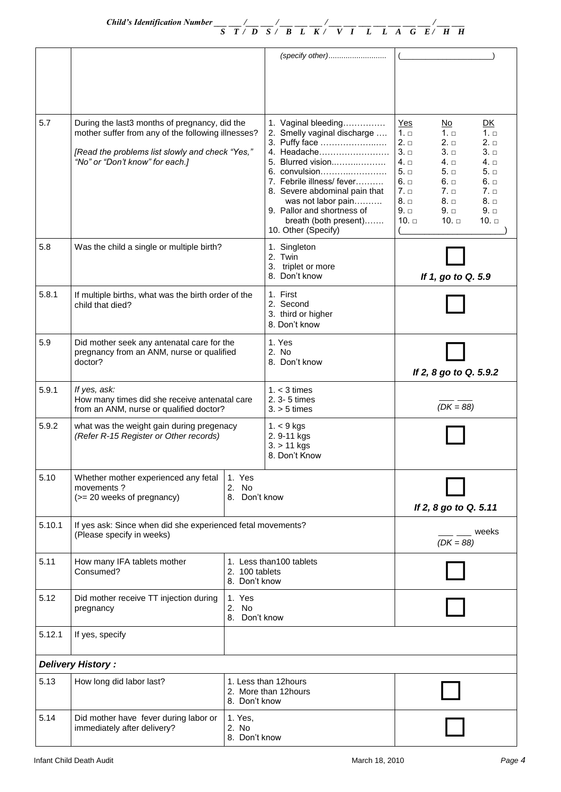| 5.7    | During the last3 months of pregnancy, did the<br>mother suffer from any of the following illnesses?<br>[Read the problems list slowly and check "Yes,"<br>"No" or "Don't know" for each.] |                                   | 1. Vaginal bleeding<br>2. Smelly vaginal discharge<br>3. Puffy face<br>4. Headache<br>5. Blurred vision<br>6. convulsion<br>7. Febrile illness/ fever<br>8. Severe abdominal pain that<br>was not labor pain<br>9. Pallor and shortness of<br>breath (both present)<br>10. Other (Specify) | Yes<br><u>DK</u><br>No.<br>$1. \square$<br>$1. \square$<br>$1. \Box$<br>$2. \Box$<br>$2. \Box$<br>2. □<br>$3. \square$<br>$3. \Box$<br>$3. \Box$<br>$4. \Box$<br>4. □<br>4. □<br>$5. \Box$<br>$5. \Box$<br>$5. \Box$<br>$6. \Box$<br>6. □<br>6. □<br>7. □<br>$7. \Box$<br>7. □<br>$8. \Box$<br>$8. \Box$<br>8. ⊟<br>$9. \Box$<br>$9. \Box$<br>$9. \Box$<br>$10. \square$<br>$10. \Box$<br>$10. \Box$ |  |  |
|--------|-------------------------------------------------------------------------------------------------------------------------------------------------------------------------------------------|-----------------------------------|--------------------------------------------------------------------------------------------------------------------------------------------------------------------------------------------------------------------------------------------------------------------------------------------|------------------------------------------------------------------------------------------------------------------------------------------------------------------------------------------------------------------------------------------------------------------------------------------------------------------------------------------------------------------------------------------------------|--|--|
| 5.8    | Was the child a single or multiple birth?                                                                                                                                                 |                                   | 1. Singleton<br>2. Twin<br>3. triplet or more<br>8. Don't know                                                                                                                                                                                                                             | If 1, go to Q. 5.9                                                                                                                                                                                                                                                                                                                                                                                   |  |  |
| 5.8.1  | If multiple births, what was the birth order of the<br>child that died?                                                                                                                   |                                   | 1. First<br>2. Second<br>3. third or higher<br>8. Don't know                                                                                                                                                                                                                               |                                                                                                                                                                                                                                                                                                                                                                                                      |  |  |
| 5.9    | Did mother seek any antenatal care for the<br>pregnancy from an ANM, nurse or qualified<br>doctor?                                                                                        |                                   | 1. Yes<br>2. No<br>8. Don't know                                                                                                                                                                                                                                                           | If 2, 8 go to Q. 5.9.2                                                                                                                                                                                                                                                                                                                                                                               |  |  |
| 5.9.1  | If yes, ask:<br>How many times did she receive antenatal care<br>from an ANM, nurse or qualified doctor?                                                                                  |                                   | $1. < 3 \times$<br>2. 3- 5 times<br>$3. > 5$ times                                                                                                                                                                                                                                         | $(DK = 88)$                                                                                                                                                                                                                                                                                                                                                                                          |  |  |
| 5.9.2  | what was the weight gain during pregenacy<br>(Refer R-15 Register or Other records)                                                                                                       |                                   | $1. < 9$ kgs<br>2.9-11 kgs<br>$3. > 11$ kgs<br>8. Don't Know                                                                                                                                                                                                                               |                                                                                                                                                                                                                                                                                                                                                                                                      |  |  |
| 5.10   | Whether mother experienced any fetal<br>movements?<br>(>= 20 weeks of pregnancy)                                                                                                          | 1. Yes<br>2. No<br>8. Don't know  |                                                                                                                                                                                                                                                                                            | If 2, 8 go to Q. 5.11                                                                                                                                                                                                                                                                                                                                                                                |  |  |
| 5.10.1 | If yes ask: Since when did she experienced fetal movements?<br>(Please specify in weeks)                                                                                                  |                                   |                                                                                                                                                                                                                                                                                            | weeks<br>$(DK = 88)$                                                                                                                                                                                                                                                                                                                                                                                 |  |  |
| 5.11   | How many IFA tablets mother<br>Consumed?                                                                                                                                                  | 2. 100 tablets<br>8. Don't know   | 1. Less than 100 tablets                                                                                                                                                                                                                                                                   |                                                                                                                                                                                                                                                                                                                                                                                                      |  |  |
| 5.12   | Did mother receive TT injection during<br>pregnancy                                                                                                                                       | 1. Yes<br>2. No<br>8. Don't know  |                                                                                                                                                                                                                                                                                            |                                                                                                                                                                                                                                                                                                                                                                                                      |  |  |
| 5.12.1 | If yes, specify                                                                                                                                                                           |                                   |                                                                                                                                                                                                                                                                                            |                                                                                                                                                                                                                                                                                                                                                                                                      |  |  |
|        | Delivery History:                                                                                                                                                                         |                                   |                                                                                                                                                                                                                                                                                            |                                                                                                                                                                                                                                                                                                                                                                                                      |  |  |
| 5.13   | How long did labor last?                                                                                                                                                                  | 8. Don't know                     | 1. Less than 12hours<br>2. More than 12hours                                                                                                                                                                                                                                               |                                                                                                                                                                                                                                                                                                                                                                                                      |  |  |
| 5.14   | Did mother have fever during labor or<br>immediately after delivery?                                                                                                                      | 1. Yes,<br>2. No<br>8. Don't know |                                                                                                                                                                                                                                                                                            |                                                                                                                                                                                                                                                                                                                                                                                                      |  |  |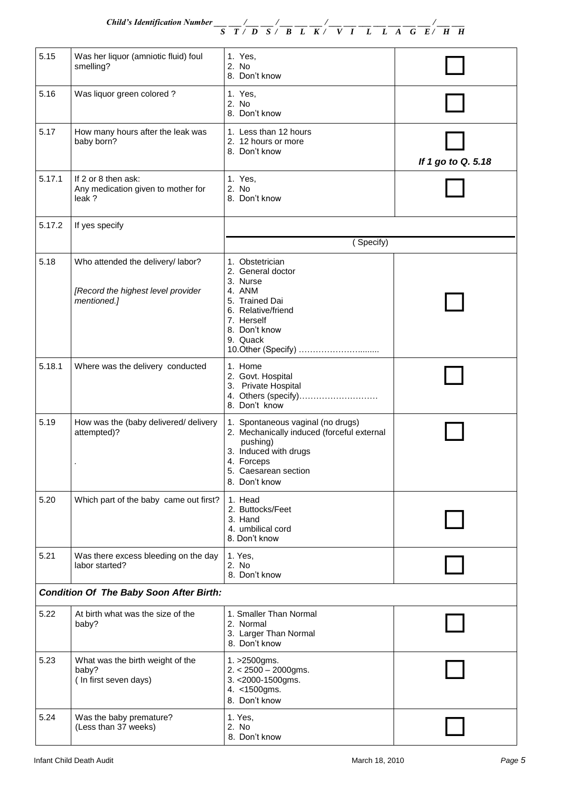| <b>Child's Identification Number</b> |  |  |  |  |  |  |  |  |
|--------------------------------------|--|--|--|--|--|--|--|--|
|                                      |  |  |  |  |  |  |  |  |

|        |                                                                                        | T / D S / B L K / V I L L A G E / H H<br>S                                                                                                                                  |                    |
|--------|----------------------------------------------------------------------------------------|-----------------------------------------------------------------------------------------------------------------------------------------------------------------------------|--------------------|
| 5.15   | Was her liquor (amniotic fluid) foul<br>smelling?                                      | 1. Yes,<br>2. No<br>8. Don't know                                                                                                                                           |                    |
| 5.16   | Was liquor green colored?                                                              | 1. Yes,<br>2. No<br>8. Don't know                                                                                                                                           |                    |
| 5.17   | How many hours after the leak was<br>baby born?                                        | 1. Less than 12 hours<br>2. 12 hours or more<br>8. Don't know                                                                                                               | If 1 go to Q. 5.18 |
| 5.17.1 | If 2 or 8 then ask:<br>Any medication given to mother for<br>leak ?                    | 1. Yes,<br>2. No<br>8. Don't know                                                                                                                                           |                    |
| 5.17.2 | If yes specify                                                                         |                                                                                                                                                                             |                    |
|        |                                                                                        | (Specify)                                                                                                                                                                   |                    |
| 5.18   | Who attended the delivery/ labor?<br>[Record the highest level provider<br>mentioned.] | 1. Obstetrician<br>2. General doctor<br>3. Nurse<br>4. ANM<br>5. Trained Dai<br>6. Relative/friend<br>7. Herself<br>8. Don't know<br>9. Quack                               |                    |
| 5.18.1 | Where was the delivery conducted                                                       | 1. Home<br>2. Govt. Hospital<br>3. Private Hospital<br>8. Don't know                                                                                                        |                    |
| 5.19   | How was the (baby delivered/ delivery<br>attempted)?                                   | 1. Spontaneous vaginal (no drugs)<br>2. Mechanically induced (forceful external<br>pushing)<br>3. Induced with drugs<br>4. Forceps<br>5. Caesarean section<br>8. Don't know |                    |
| 5.20   | Which part of the baby came out first?                                                 | 1. Head<br>2. Buttocks/Feet<br>3. Hand<br>4. umbilical cord<br>8. Don't know                                                                                                |                    |
| 5.21   | Was there excess bleeding on the day<br>labor started?                                 | 1. Yes,<br>2. No<br>8. Don't know                                                                                                                                           |                    |
|        | <b>Condition Of The Baby Soon After Birth:</b>                                         |                                                                                                                                                                             |                    |
| 5.22   | At birth what was the size of the<br>baby?                                             | 1. Smaller Than Normal<br>2. Normal<br>3. Larger Than Normal<br>8. Don't know                                                                                               |                    |
| 5.23   | What was the birth weight of the<br>baby?<br>(In first seven days)                     | 1. > 2500 gms.<br>$2. < 2500 - 2000$ gms.<br>3. < 2000-1500gms.<br>4. < 1500gms.<br>8. Don't know                                                                           |                    |
| 5.24   | Was the baby premature?<br>(Less than 37 weeks)                                        | 1. Yes,<br>2. No<br>8. Don't know                                                                                                                                           |                    |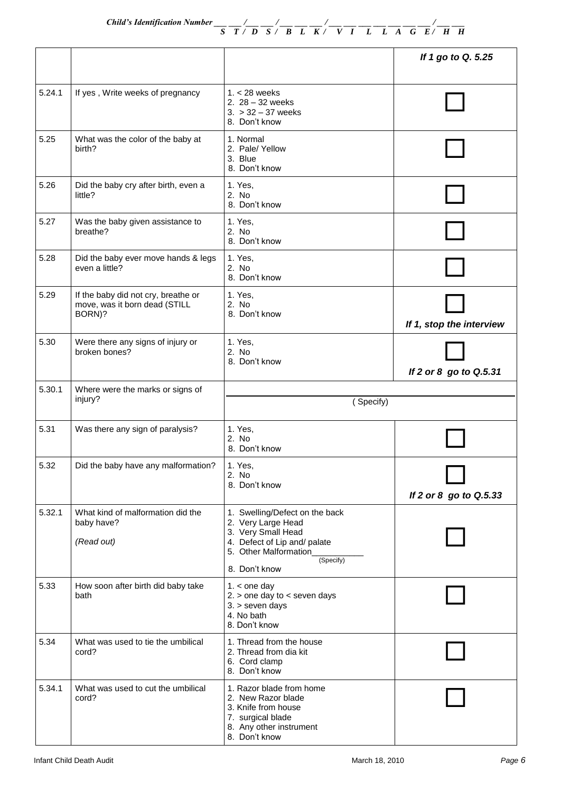|        |                                                                                |                                                                                                                                                                   | If 1 go to Q. 5.25       |
|--------|--------------------------------------------------------------------------------|-------------------------------------------------------------------------------------------------------------------------------------------------------------------|--------------------------|
| 5.24.1 | If yes, Write weeks of pregnancy                                               | $1. < 28$ weeks<br>2. $28 - 32$ weeks<br>$3. > 32 - 37$ weeks<br>8. Don't know                                                                                    |                          |
| 5.25   | What was the color of the baby at<br>birth?                                    | 1. Normal<br>2. Pale/ Yellow<br>3. Blue<br>8. Don't know                                                                                                          |                          |
| 5.26   | Did the baby cry after birth, even a<br>little?                                | 1. Yes,<br>2. No<br>8. Don't know                                                                                                                                 |                          |
| 5.27   | Was the baby given assistance to<br>breathe?                                   | 1. Yes,<br>2. No<br>8. Don't know                                                                                                                                 |                          |
| 5.28   | Did the baby ever move hands & legs<br>even a little?                          | 1. Yes,<br>2. No<br>8. Don't know                                                                                                                                 |                          |
| 5.29   | If the baby did not cry, breathe or<br>move, was it born dead (STILL<br>BORN)? | 1. Yes,<br>2. No<br>8. Don't know                                                                                                                                 | If 1, stop the interview |
| 5.30   | Were there any signs of injury or<br>broken bones?                             | 1. Yes,<br>2. No<br>8. Don't know                                                                                                                                 | If 2 or 8 go to Q.5.31   |
| 5.30.1 | Where were the marks or signs of<br>injury?                                    | (Specify)                                                                                                                                                         |                          |
|        |                                                                                |                                                                                                                                                                   |                          |
| 5.31   | Was there any sign of paralysis?                                               | 1. Yes,<br>2. No<br>8. Don't know                                                                                                                                 |                          |
| 5.32   | Did the baby have any malformation?                                            | 1. Yes,<br>2. No<br>8. Don't know                                                                                                                                 | If 2 or 8 go to Q.5.33   |
| 5.32.1 | What kind of malformation did the<br>baby have?<br>(Read out)                  | 1. Swelling/Defect on the back<br>2. Very Large Head<br>3. Very Small Head<br>4. Defect of Lip and/ palate<br>5. Other Malformation<br>(Specify)<br>8. Don't know |                          |
| 5.33   | How soon after birth did baby take<br>bath                                     | $1. <$ one day<br>2. $>$ one day to $<$ seven days<br>$3.$ > seven days<br>4. No bath<br>8. Don't know                                                            |                          |
| 5.34   | What was used to tie the umbilical<br>cord?                                    | 1. Thread from the house<br>2. Thread from dia kit<br>6. Cord clamp<br>8. Don't know                                                                              |                          |
| 5.34.1 | What was used to cut the umbilical<br>cord?                                    | 1. Razor blade from home<br>2. New Razor blade<br>3. Knife from house<br>7. surgical blade<br>8. Any other instrument<br>8. Don't know                            |                          |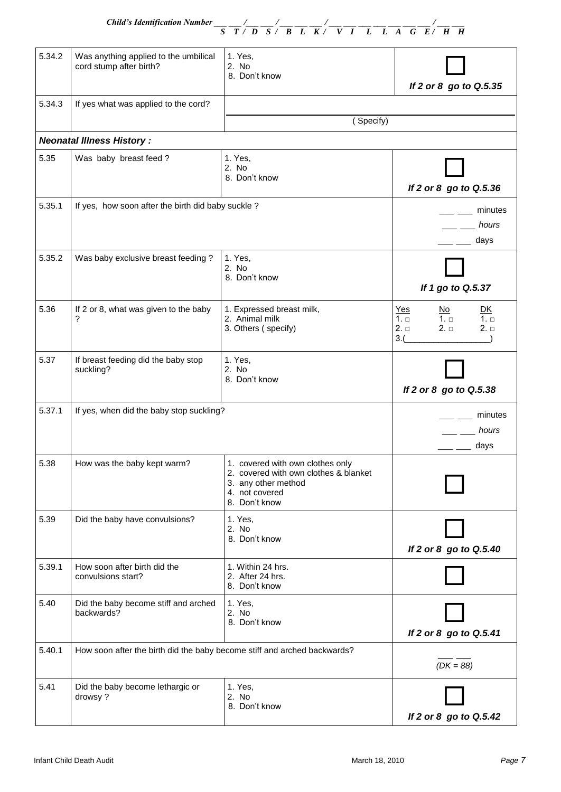|        |                                                                          | Child's Identification Number $\frac{1}{S}$ $\frac{1}{T}$ $\frac{1}{D}$ $\frac{1}{S}$ $\frac{1}{S}$ $\frac{1}{B}$ $\frac{1}{L}$ $\frac{1}{K}$ $\frac{1}{V}$ $\frac{1}{I}$ $\frac{1}{L}$ $\frac{1}{A}$ $\frac{1}{G}$ $\frac{1}{E}$ $\frac{1}{H}$ $\frac{1}{H}$ |                                                                                                                      |
|--------|--------------------------------------------------------------------------|---------------------------------------------------------------------------------------------------------------------------------------------------------------------------------------------------------------------------------------------------------------|----------------------------------------------------------------------------------------------------------------------|
|        |                                                                          |                                                                                                                                                                                                                                                               |                                                                                                                      |
| 5.34.2 | Was anything applied to the umbilical<br>cord stump after birth?         | 1. Yes,<br>2. No<br>8. Don't know                                                                                                                                                                                                                             | If 2 or 8 go to Q.5.35                                                                                               |
| 5.34.3 | If yes what was applied to the cord?                                     |                                                                                                                                                                                                                                                               |                                                                                                                      |
|        |                                                                          | (Specify)                                                                                                                                                                                                                                                     |                                                                                                                      |
|        | <b>Neonatal Illness History:</b>                                         |                                                                                                                                                                                                                                                               |                                                                                                                      |
| 5.35   | Was baby breast feed?                                                    | 1. Yes,<br>2. No<br>8. Don't know                                                                                                                                                                                                                             | If 2 or 8 go to Q.5.36                                                                                               |
| 5.35.1 | If yes, how soon after the birth did baby suckle?                        |                                                                                                                                                                                                                                                               | minutes<br>hours<br>days                                                                                             |
| 5.35.2 | Was baby exclusive breast feeding?                                       | 1. Yes,<br>2. No<br>8. Don't know                                                                                                                                                                                                                             | If 1 go to Q.5.37                                                                                                    |
| 5.36   | If 2 or 8, what was given to the baby<br>?                               | 1. Expressed breast milk,<br>2. Animal milk<br>3. Others (specify)                                                                                                                                                                                            | Yes<br><u>No</u><br><u>DK</u><br>$1. \Box$<br>$1. \square$<br>$1. \Box$<br>$2. \Box$<br>$2. \Box$<br>$2. \Box$<br>3( |
| 5.37   | If breast feeding did the baby stop<br>suckling?                         | 1. Yes,<br>2. No<br>8. Don't know                                                                                                                                                                                                                             | If 2 or 8 go to Q.5.38                                                                                               |
| 5.37.1 | If yes, when did the baby stop suckling?                                 |                                                                                                                                                                                                                                                               | minutes<br>hours<br>days                                                                                             |
| 5.38   | How was the baby kept warm?                                              | 1. covered with own clothes only<br>2. covered with own clothes & blanket<br>3. any other method<br>4. not covered<br>8. Don't know                                                                                                                           |                                                                                                                      |
| 5.39   | Did the baby have convulsions?                                           | 1. Yes,<br>2. No<br>8. Don't know                                                                                                                                                                                                                             | If 2 or 8 go to Q.5.40                                                                                               |
| 5.39.1 | How soon after birth did the<br>convulsions start?                       | 1. Within 24 hrs.<br>2. After 24 hrs.<br>8. Don't know                                                                                                                                                                                                        |                                                                                                                      |
| 5.40   | Did the baby become stiff and arched<br>backwards?                       | 1. Yes,<br>2. No<br>8. Don't know                                                                                                                                                                                                                             | If 2 or 8 go to Q.5.41                                                                                               |
| 5.40.1 | How soon after the birth did the baby become stiff and arched backwards? |                                                                                                                                                                                                                                                               | $(DK = 88)$                                                                                                          |
| 5.41   | Did the baby become lethargic or<br>drowsy?                              | 1. Yes,<br>2. No<br>8. Don't know                                                                                                                                                                                                                             | If 2 or 8 go to Q.5.42                                                                                               |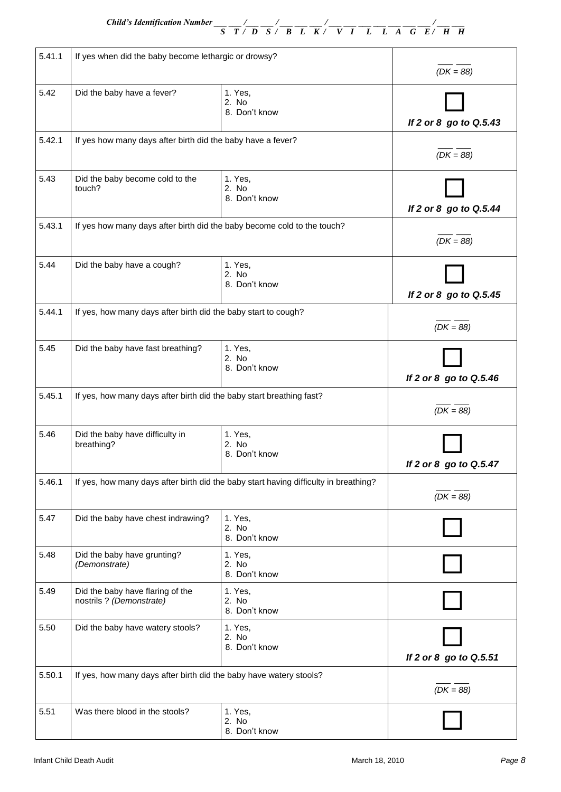| 5.41.1 | If yes when did the baby become lethargic or drowsy?                    |                                                                                      | $(DK = 88)$            |
|--------|-------------------------------------------------------------------------|--------------------------------------------------------------------------------------|------------------------|
| 5.42   | Did the baby have a fever?                                              | 1. Yes,<br>2. No<br>8. Don't know                                                    | If 2 or 8 go to Q.5.43 |
| 5.42.1 | If yes how many days after birth did the baby have a fever?             |                                                                                      | $(DK = 88)$            |
| 5.43   | Did the baby become cold to the<br>touch?                               | 1. Yes,<br>2. No<br>8. Don't know                                                    | If 2 or 8 go to Q.5.44 |
| 5.43.1 | If yes how many days after birth did the baby become cold to the touch? |                                                                                      | $(DK = 88)$            |
| 5.44   | Did the baby have a cough?                                              | 1. Yes,<br>2. No<br>8. Don't know                                                    | If 2 or 8 go to Q.5.45 |
| 5.44.1 | If yes, how many days after birth did the baby start to cough?          |                                                                                      | $(DK = 88)$            |
| 5.45   | Did the baby have fast breathing?                                       | 1. Yes,<br>2. No<br>8. Don't know                                                    | If 2 or 8 go to Q.5.46 |
| 5.45.1 | If yes, how many days after birth did the baby start breathing fast?    |                                                                                      | $(DK = 88)$            |
| 5.46   | Did the baby have difficulty in<br>breathing?                           | 1. Yes,<br>2. No<br>8. Don't know                                                    | If 2 or 8 go to Q.5.47 |
| 5.46.1 |                                                                         | If yes, how many days after birth did the baby start having difficulty in breathing? | $(DK = 88)$            |
| 5.47   | Did the baby have chest indrawing?                                      | 1. Yes,<br>2. No<br>8. Don't know                                                    |                        |
| 5.48   | Did the baby have grunting?<br>(Demonstrate)                            | 1. Yes,<br>2. No<br>8. Don't know                                                    |                        |
| 5.49   | Did the baby have flaring of the<br>nostrils ? (Demonstrate)            | 1. Yes,<br>2. No<br>8. Don't know                                                    |                        |
| 5.50   | Did the baby have watery stools?                                        | 1. Yes,<br>2. No<br>8. Don't know                                                    | If 2 or 8 go to Q.5.51 |
| 5.50.1 | If yes, how many days after birth did the baby have watery stools?      | $(DK = 88)$                                                                          |                        |
| 5.51   | Was there blood in the stools?                                          | 1. Yes,<br>2. No<br>8. Don't know                                                    |                        |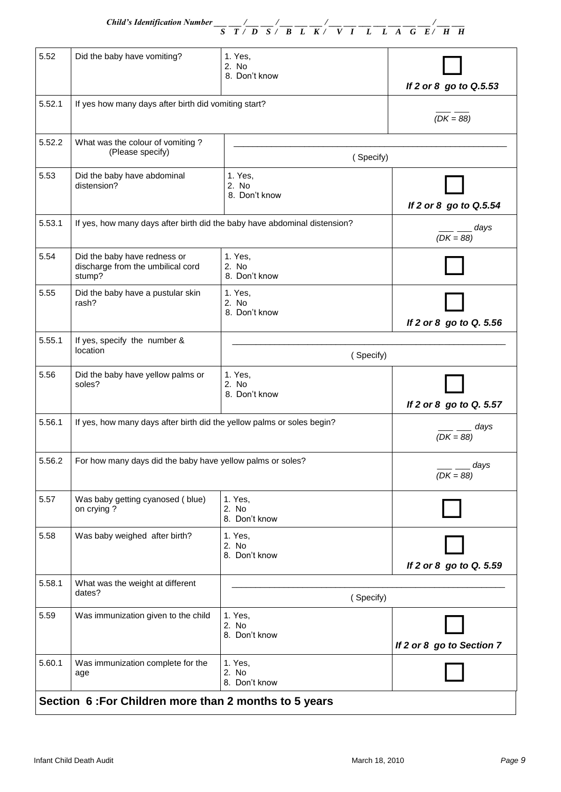|        |                                                                             | Child's Identification Number $\frac{1}{S}$ $\frac{1}{T}$ $\frac{1}{D}$ $\frac{1}{S}$ $\frac{1}{S}$ $\frac{1}{B}$ $\frac{1}{L}$ $\frac{1}{K}$ $\frac{1}{V}$ $\frac{1}{I}$ $\frac{1}{L}$ $\frac{1}{A}$ $\frac{1}{G}$ $\frac{1}{E}$ $\frac{1}{H}$ $\frac{1}{H}$ |                                    |
|--------|-----------------------------------------------------------------------------|---------------------------------------------------------------------------------------------------------------------------------------------------------------------------------------------------------------------------------------------------------------|------------------------------------|
|        |                                                                             |                                                                                                                                                                                                                                                               |                                    |
| 5.52   | Did the baby have vomiting?                                                 | 1. Yes,<br>2. No<br>8. Don't know                                                                                                                                                                                                                             | If 2 or 8 go to Q.5.53             |
| 5.52.1 | If yes how many days after birth did vomiting start?                        |                                                                                                                                                                                                                                                               | $(DK = 88)$                        |
| 5.52.2 | What was the colour of vomiting?<br>(Please specify)                        | (Specify)                                                                                                                                                                                                                                                     |                                    |
| 5.53   | Did the baby have abdominal<br>distension?                                  | 1. Yes,<br>2. No<br>8. Don't know                                                                                                                                                                                                                             | If 2 or 8 go to Q.5.54             |
| 5.53.1 | If yes, how many days after birth did the baby have abdominal distension?   |                                                                                                                                                                                                                                                               | days<br>$(DK = 88)$                |
| 5.54   | Did the baby have redness or<br>discharge from the umbilical cord<br>stump? | 1. Yes,<br>2. No<br>8. Don't know                                                                                                                                                                                                                             |                                    |
| 5.55   | Did the baby have a pustular skin<br>rash?                                  | 1. Yes,<br>2. No<br>8. Don't know                                                                                                                                                                                                                             | If 2 or 8 go to Q. 5.56            |
| 5.55.1 | If yes, specify the number &<br>location                                    | (Specify)                                                                                                                                                                                                                                                     |                                    |
| 5.56   | Did the baby have yellow palms or<br>soles?                                 | 1. Yes,<br>2. No<br>8. Don't know                                                                                                                                                                                                                             | If 2 or 8 go to Q. 5.57            |
| 5.56.1 | If yes, how many days after birth did the yellow palms or soles begin?      |                                                                                                                                                                                                                                                               | . <sub>—</sub> days<br>$(DK = 88)$ |
| 5.56.2 | For how many days did the baby have yellow palms or soles?                  |                                                                                                                                                                                                                                                               | days<br>$(DK = 88)$                |
| 5.57   | Was baby getting cyanosed (blue)<br>on crying?                              | 1. Yes,<br>2. No<br>8. Don't know                                                                                                                                                                                                                             |                                    |
| 5.58   | Was baby weighed after birth?                                               | 1. Yes,<br>2. No<br>8. Don't know                                                                                                                                                                                                                             | If 2 or 8 go to Q. 5.59            |
| 5.58.1 | What was the weight at different<br>dates?                                  | (Specify)                                                                                                                                                                                                                                                     |                                    |
| 5.59   | Was immunization given to the child                                         | 1. Yes,<br>2. No<br>8. Don't know                                                                                                                                                                                                                             | If 2 or 8 go to Section 7          |
| 5.60.1 | Was immunization complete for the<br>age                                    | 1. Yes,<br>2. No<br>8. Don't know                                                                                                                                                                                                                             |                                    |
|        | Section 6: For Children more than 2 months to 5 years                       |                                                                                                                                                                                                                                                               |                                    |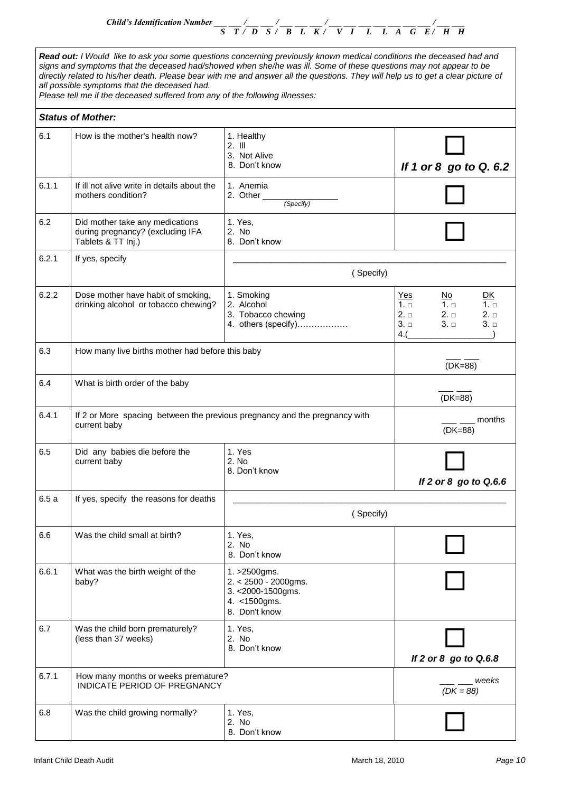|       | all possible symptoms that the deceased had.<br>Please tell me if the deceased suffered from any of the following illnesses: | Read out: I Would like to ask you some questions concerning previously known medical conditions the deceased had and<br>signs and symptoms that the deceased had/showed when she/he was ill. Some of these questions may not appear to be<br>directly related to his/her death. Please bear with me and answer all the questions. They will help us to get a clear picture of |                                                                                                                                                                             |
|-------|------------------------------------------------------------------------------------------------------------------------------|-------------------------------------------------------------------------------------------------------------------------------------------------------------------------------------------------------------------------------------------------------------------------------------------------------------------------------------------------------------------------------|-----------------------------------------------------------------------------------------------------------------------------------------------------------------------------|
|       | <b>Status of Mother:</b>                                                                                                     |                                                                                                                                                                                                                                                                                                                                                                               |                                                                                                                                                                             |
| 6.1   | How is the mother's health now?                                                                                              | 1. Healthy<br>$2.$ III<br>3. Not Alive<br>8. Don't know                                                                                                                                                                                                                                                                                                                       | If 1 or 8 go to Q. 6.2                                                                                                                                                      |
| 6.1.1 | If ill not alive write in details about the<br>mothers condition?                                                            | 1. Anemia<br>2. Other<br>(Specify)                                                                                                                                                                                                                                                                                                                                            |                                                                                                                                                                             |
| 6.2   | Did mother take any medications<br>during pregnancy? (excluding IFA<br>Tablets & TT Inj.)                                    | 1. Yes,<br>2. No<br>8. Don't know                                                                                                                                                                                                                                                                                                                                             |                                                                                                                                                                             |
| 6.2.1 | If yes, specify                                                                                                              | (Specify)                                                                                                                                                                                                                                                                                                                                                                     |                                                                                                                                                                             |
| 6.2.2 | Dose mother have habit of smoking,<br>drinking alcohol or tobacco chewing?                                                   | 1. Smoking<br>2. Alcohol<br>3. Tobacco chewing<br>4. others (specify)                                                                                                                                                                                                                                                                                                         | D <sub>K</sub><br><u>No</u><br><u>Yes</u><br>$1. \square$<br>$1. \Box$<br>$1. \Box$<br>$2. \Box$<br>$2. \Box$<br>$2. \Box$<br>$3. \square$<br>$3. \Box$<br>$3. \Box$<br>4.( |
| 6.3   | How many live births mother had before this baby                                                                             |                                                                                                                                                                                                                                                                                                                                                                               | $(DK=88)$                                                                                                                                                                   |
| 6.4   | What is birth order of the baby                                                                                              |                                                                                                                                                                                                                                                                                                                                                                               | $(DK=88)$                                                                                                                                                                   |
| 6.4.1 | If 2 or More spacing between the previous pregnancy and the pregnancy with<br>current baby                                   |                                                                                                                                                                                                                                                                                                                                                                               | months<br>$(DK=88)$                                                                                                                                                         |
| 6.5   | Did any babies die before the<br>current baby                                                                                | 1. Yes<br>2. No<br>8. Don't know                                                                                                                                                                                                                                                                                                                                              | If 2 or 8 go to Q.6.6                                                                                                                                                       |
| 6.5a  | If yes, specify the reasons for deaths                                                                                       | (Specify)                                                                                                                                                                                                                                                                                                                                                                     |                                                                                                                                                                             |
| 6.6   | Was the child small at birth?                                                                                                | 1. Yes,<br>2. No<br>8. Don't know                                                                                                                                                                                                                                                                                                                                             |                                                                                                                                                                             |
| 6.6.1 | What was the birth weight of the<br>baby?                                                                                    | 1. > 2500 gms.<br>2. < 2500 - 2000gms.<br>3. < 2000-1500gms.<br>4. < 1500gms.<br>8. Don't know                                                                                                                                                                                                                                                                                |                                                                                                                                                                             |
| 6.7   | Was the child born prematurely?<br>(less than 37 weeks)                                                                      | 1. Yes,<br>2. No<br>8. Don't know                                                                                                                                                                                                                                                                                                                                             | If 2 or 8 go to Q.6.8                                                                                                                                                       |
| 6.7.1 | How many months or weeks premature?<br>INDICATE PERIOD OF PREGNANCY                                                          | weeks<br>$(DK = 88)$                                                                                                                                                                                                                                                                                                                                                          |                                                                                                                                                                             |
| 6.8   | Was the child growing normally?                                                                                              | 1. Yes,<br>2. No<br>8. Don't know                                                                                                                                                                                                                                                                                                                                             |                                                                                                                                                                             |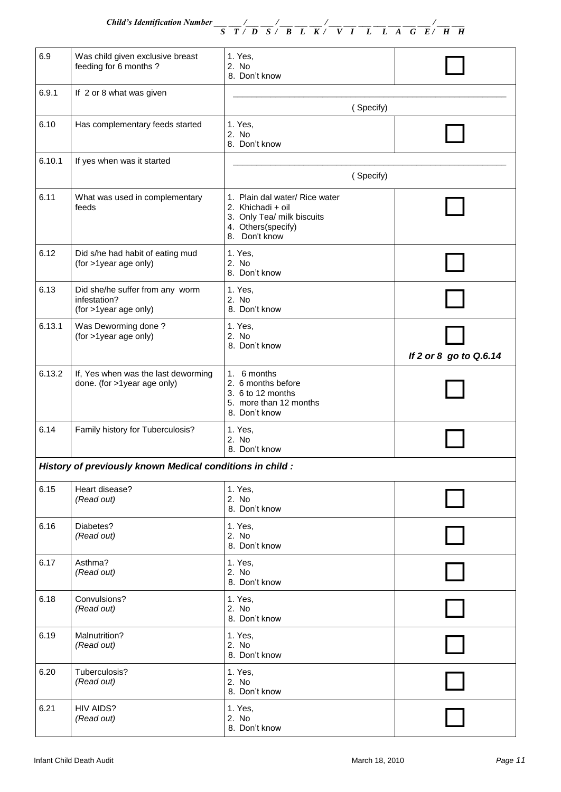| 6.9    | Was child given exclusive breast<br>feeding for 6 months?                | 1. Yes,<br>2. No<br>8. Don't know                                                                                           |                        |
|--------|--------------------------------------------------------------------------|-----------------------------------------------------------------------------------------------------------------------------|------------------------|
| 6.9.1  | If 2 or 8 what was given                                                 | (Specify)                                                                                                                   |                        |
| 6.10   | Has complementary feeds started                                          | 1. Yes,<br>2. No<br>8. Don't know                                                                                           |                        |
| 6.10.1 | If yes when was it started                                               | (Specify)                                                                                                                   |                        |
| 6.11   | What was used in complementary<br>feeds                                  | 1. Plain dal water/ Rice water<br>2. Khichadi + oil<br>3. Only Tea/ milk biscuits<br>4. Others(specify)<br>Don't know<br>8. |                        |
| 6.12   | Did s/he had habit of eating mud<br>(for >1year age only)                | 1. Yes,<br>2. No<br>8. Don't know                                                                                           |                        |
| 6.13   | Did she/he suffer from any worm<br>infestation?<br>(for >1year age only) | 1. Yes,<br>2. No<br>8. Don't know                                                                                           |                        |
| 6.13.1 | Was Deworming done?<br>(for >1year age only)                             | 1. Yes,<br>2. No<br>8. Don't know                                                                                           | If 2 or 8 go to Q.6.14 |
| 6.13.2 | If, Yes when was the last deworming<br>done. (for >1year age only)       | 1. 6 months<br>2. 6 months before<br>3. 6 to 12 months<br>5. more than 12 months<br>8. Don't know                           |                        |
| 6.14   | Family history for Tuberculosis?                                         | 1. Yes,<br>2. No<br>8. Don't know                                                                                           |                        |
|        | History of previously known Medical conditions in child :                |                                                                                                                             |                        |
| 6.15   | Heart disease?<br>(Read out)                                             | 1. Yes,<br>2. No<br>8. Don't know                                                                                           |                        |
| 6.16   | Diabetes?<br>(Read out)                                                  | 1. Yes,<br>2. No<br>8. Don't know                                                                                           |                        |
| 6.17   | Asthma?<br>(Read out)                                                    | 1. Yes,<br>2. No<br>8. Don't know                                                                                           |                        |
| 6.18   | Convulsions?<br>(Read out)                                               | 1. Yes,<br>2. No<br>8. Don't know                                                                                           |                        |
| 6.19   | Malnutrition?<br>(Read out)                                              | 1. Yes,<br>2. No<br>8. Don't know                                                                                           |                        |
| 6.20   | Tuberculosis?<br>(Read out)                                              | 1. Yes,<br>2. No<br>8. Don't know                                                                                           |                        |
| 6.21   | <b>HIV AIDS?</b><br>(Read out)                                           | 1. Yes,<br>2. No<br>8. Don't know                                                                                           |                        |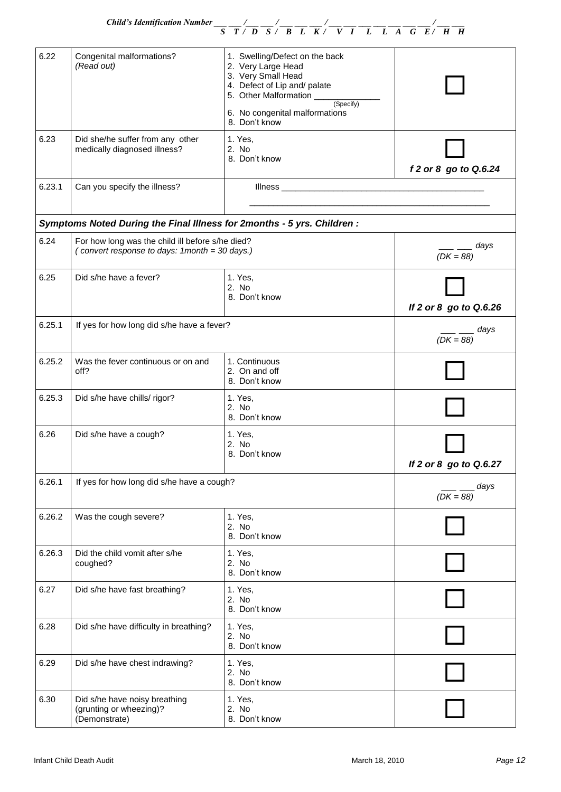|        |                                                                                                   | Child's Identification Number $\frac{1}{S}$ $\frac{1}{T}$ $\frac{1}{D}$ $\frac{1}{S}$ $\frac{1}{S}$ $\frac{1}{B}$ $\frac{1}{L}$ $\frac{1}{K}$ $\frac{1}{T}$ $\frac{1}{T}$ $\frac{1}{L}$ $\frac{1}{A}$ $\frac{1}{G}$ $\frac{1}{E}$ $\frac{1}{H}$ $\frac{1}{H}$ |                                |
|--------|---------------------------------------------------------------------------------------------------|---------------------------------------------------------------------------------------------------------------------------------------------------------------------------------------------------------------------------------------------------------------|--------------------------------|
| 6.22   | Congenital malformations?<br>(Read out)                                                           | 1. Swelling/Defect on the back<br>2. Very Large Head<br>3. Very Small Head<br>4. Defect of Lip and/ palate<br>5. Other Malformation (Specify)<br>6. No congenital malformations<br>8. Don't know                                                              |                                |
| 6.23   | Did she/he suffer from any other<br>medically diagnosed illness?                                  | 1. Yes,<br>2. No<br>8. Don't know                                                                                                                                                                                                                             | f 2 or 8 go to Q.6.24          |
| 6.23.1 | Can you specify the illness?                                                                      | Illness <b>Executive Contract Contract Contract Contract Contract Contract Contract Contract Contract Contract Contract Contract Contract Contract Contract Contract Contract Contract Contract Contract Contract Contract Contr</b>                          |                                |
|        | Symptoms Noted During the Final Illness for 2months - 5 yrs. Children :                           |                                                                                                                                                                                                                                                               |                                |
| 6.24   | For how long was the child ill before s/he died?<br>(convert response to days: 1month = 30 days.) |                                                                                                                                                                                                                                                               | days<br>$\overline{(DK = 88)}$ |
| 6.25   | Did s/he have a fever?                                                                            | 1. Yes.<br>2. No<br>8. Don't know                                                                                                                                                                                                                             | If 2 or 8 go to Q.6.26         |
| 6.25.1 | If yes for how long did s/he have a fever?                                                        |                                                                                                                                                                                                                                                               | $(DK = 88)$                    |
| 6.25.2 | Was the fever continuous or on and<br>off?                                                        | 1. Continuous<br>2. On and off<br>8. Don't know                                                                                                                                                                                                               |                                |
| 6.25.3 | Did s/he have chills/ rigor?                                                                      | 1. Yes,<br>2. No<br>8. Don't know                                                                                                                                                                                                                             |                                |
| 6.26   | Did s/he have a cough?                                                                            | 1. Yes,<br>2. No<br>8. Don't know                                                                                                                                                                                                                             | If 2 or 8 go to Q.6.27         |
| 6.26.1 | If yes for how long did s/he have a cough?                                                        |                                                                                                                                                                                                                                                               | days<br>$(DK = 88)$            |
| 6.26.2 | Was the cough severe?                                                                             | 1. Yes,<br>2. No<br>8. Don't know                                                                                                                                                                                                                             |                                |
| 6.26.3 | Did the child vomit after s/he<br>coughed?                                                        | 1. Yes,<br>2. No<br>8. Don't know                                                                                                                                                                                                                             |                                |
| 6.27   | Did s/he have fast breathing?                                                                     | 1. Yes,<br>2. No<br>8. Don't know                                                                                                                                                                                                                             |                                |
| 6.28   | Did s/he have difficulty in breathing?                                                            | 1. Yes,<br>2. No<br>8. Don't know                                                                                                                                                                                                                             |                                |
| 6.29   | Did s/he have chest indrawing?                                                                    | 1. Yes,<br>2. No<br>8. Don't know                                                                                                                                                                                                                             |                                |
| 6.30   | Did s/he have noisy breathing<br>(grunting or wheezing)?<br>(Demonstrate)                         | 1. Yes,<br>2. No<br>8. Don't know                                                                                                                                                                                                                             |                                |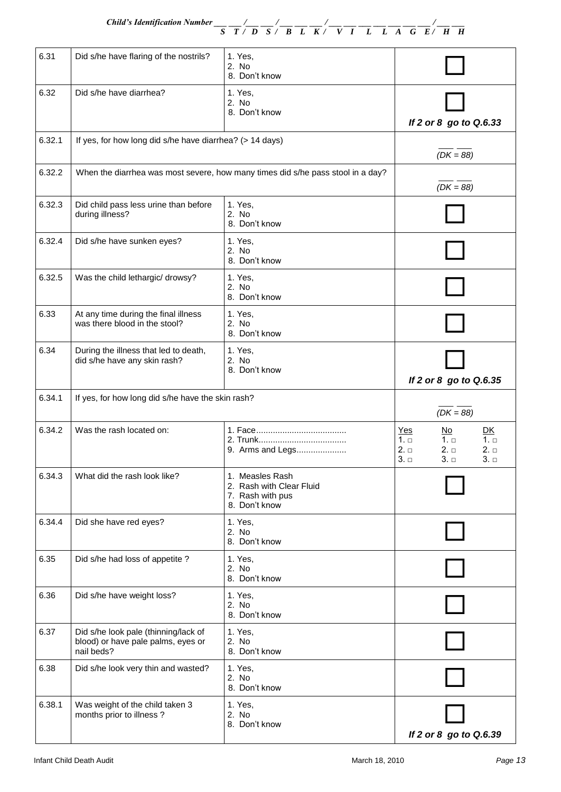| 6.31   | Did s/he have flaring of the nostrils?                                                   | 1. Yes,<br>2. No<br>8. Don't know                                                |                                                                                                                                                                |
|--------|------------------------------------------------------------------------------------------|----------------------------------------------------------------------------------|----------------------------------------------------------------------------------------------------------------------------------------------------------------|
| 6.32   | Did s/he have diarrhea?                                                                  | 1. Yes,<br>2. No<br>8. Don't know                                                | If 2 or 8 go to Q.6.33                                                                                                                                         |
| 6.32.1 | If yes, for how long did s/he have diarrhea? (> 14 days)                                 |                                                                                  | $(DK = 88)$                                                                                                                                                    |
| 6.32.2 |                                                                                          | When the diarrhea was most severe, how many times did s/he pass stool in a day?  | $(DK = 88)$                                                                                                                                                    |
| 6.32.3 | Did child pass less urine than before<br>during illness?                                 | 1. Yes,<br>2. No<br>8. Don't know                                                |                                                                                                                                                                |
| 6.32.4 | Did s/he have sunken eyes?                                                               | 1. Yes,<br>2. No<br>8. Don't know                                                |                                                                                                                                                                |
| 6.32.5 | Was the child lethargic/ drowsy?                                                         | 1. Yes,<br>2. No<br>8. Don't know                                                |                                                                                                                                                                |
| 6.33   | At any time during the final illness<br>was there blood in the stool?                    | 1. Yes,<br>2. No<br>8. Don't know                                                |                                                                                                                                                                |
| 6.34   | During the illness that led to death,<br>did s/he have any skin rash?                    | 1. Yes,<br>2. No<br>8. Don't know                                                | If 2 or 8 go to Q.6.35                                                                                                                                         |
| 6.34.1 | If yes, for how long did s/he have the skin rash?                                        |                                                                                  | $(DK = 88)$                                                                                                                                                    |
| 6.34.2 | Was the rash located on:                                                                 | 9. Arms and Legs                                                                 | Yes<br>D <sub>K</sub><br><u>No</u><br>$1. \square$<br>$1. \square$<br>$1. \Box$<br>$2. \Box$<br>$2. \Box$<br>$2. \Box$<br>$3. \square$<br>$3. \square$<br>3. □ |
| 6.34.3 | What did the rash look like?                                                             | 1. Measles Rash<br>2. Rash with Clear Fluid<br>7. Rash with pus<br>8. Don't know |                                                                                                                                                                |
| 6.34.4 | Did she have red eyes?                                                                   | 1. Yes,<br>2. No<br>8. Don't know                                                |                                                                                                                                                                |
| 6.35   | Did s/he had loss of appetite?                                                           | 1. Yes,<br>2. No<br>8. Don't know                                                |                                                                                                                                                                |
| 6.36   | Did s/he have weight loss?                                                               | 1. Yes,<br>2. No<br>8. Don't know                                                |                                                                                                                                                                |
| 6.37   | Did s/he look pale (thinning/lack of<br>blood) or have pale palms, eyes or<br>nail beds? | 1. Yes,<br>2. No<br>8. Don't know                                                |                                                                                                                                                                |
| 6.38   | Did s/he look very thin and wasted?                                                      | 1. Yes,<br>2. No<br>8. Don't know                                                |                                                                                                                                                                |
| 6.38.1 | Was weight of the child taken 3<br>months prior to illness?                              | 1. Yes,<br>2. No<br>8. Don't know                                                | If 2 or 8 go to Q.6.39                                                                                                                                         |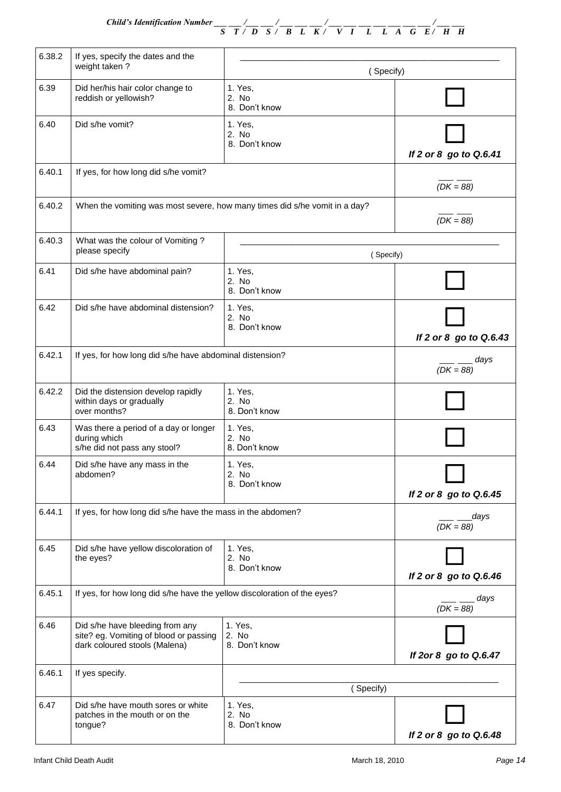|  | <b>Child's Identification Number</b> |  |
|--|--------------------------------------|--|
|--|--------------------------------------|--|

| 6.38.2<br>If yes, specify the dates and the |                                                                                                            |                                   |                        |  |  |
|---------------------------------------------|------------------------------------------------------------------------------------------------------------|-----------------------------------|------------------------|--|--|
|                                             | weight taken?                                                                                              | (Specify)                         |                        |  |  |
| 6.39                                        | Did her/his hair color change to<br>reddish or yellowish?                                                  | 1. Yes,<br>2. No<br>8. Don't know |                        |  |  |
| 6.40                                        | Did s/he vomit?                                                                                            | 1. Yes,<br>2. No<br>8. Don't know | If 2 or 8 go to Q.6.41 |  |  |
| 6.40.1                                      | If yes, for how long did s/he vomit?                                                                       |                                   | $(DK = 88)$            |  |  |
| 6.40.2                                      | When the vomiting was most severe, how many times did s/he vomit in a day?                                 |                                   | $(DK = 88)$            |  |  |
| 6.40.3                                      | What was the colour of Vomiting?<br>please specify                                                         |                                   |                        |  |  |
|                                             |                                                                                                            | (Specify)                         |                        |  |  |
| 6.41                                        | Did s/he have abdominal pain?                                                                              | 1. Yes,<br>2. No<br>8. Don't know |                        |  |  |
| 6.42                                        | Did s/he have abdominal distension?                                                                        | 1. Yes.<br>2. No<br>8. Don't know | If 2 or 8 go to Q.6.43 |  |  |
| 6.42.1                                      | If yes, for how long did s/he have abdominal distension?                                                   | days<br>$(DK = 88)$               |                        |  |  |
| 6.42.2                                      | Did the distension develop rapidly<br>within days or gradually<br>over months?                             | 1. Yes,<br>2. No<br>8. Don't know |                        |  |  |
| 6.43                                        | Was there a period of a day or longer<br>during which<br>s/he did not pass any stool?                      | 1. Yes,<br>2. No<br>8. Don't know |                        |  |  |
| 6.44                                        | Did s/he have any mass in the<br>abdomen?                                                                  | 1. Yes,<br>2. No<br>8. Don't know | If 2 or 8 go to Q.6.45 |  |  |
| 6.44.1                                      | If yes, for how long did s/he have the mass in the abdomen?                                                |                                   | days<br>$(DK = 88)$    |  |  |
| 6.45                                        | Did s/he have yellow discoloration of<br>the eyes?                                                         | 1. Yes,<br>2. No<br>8. Don't know | If 2 or 8 go to Q.6.46 |  |  |
| 6.45.1                                      | If yes, for how long did s/he have the yellow discoloration of the eyes?                                   |                                   | days<br>$(DK = 88)$    |  |  |
| 6.46                                        | Did s/he have bleeding from any<br>site? eg. Vomiting of blood or passing<br>dark coloured stools (Malena) | 1. Yes,<br>2. No<br>8. Don't know | If 2or 8 go to Q.6.47  |  |  |
| 6.46.1                                      | If yes specify.                                                                                            | (Specify)                         |                        |  |  |
|                                             |                                                                                                            |                                   |                        |  |  |
| 6.47                                        | Did s/he have mouth sores or white<br>patches in the mouth or on the<br>tongue?                            | 1. Yes,<br>2. No<br>8. Don't know | If 2 or 8 go to Q.6.48 |  |  |

H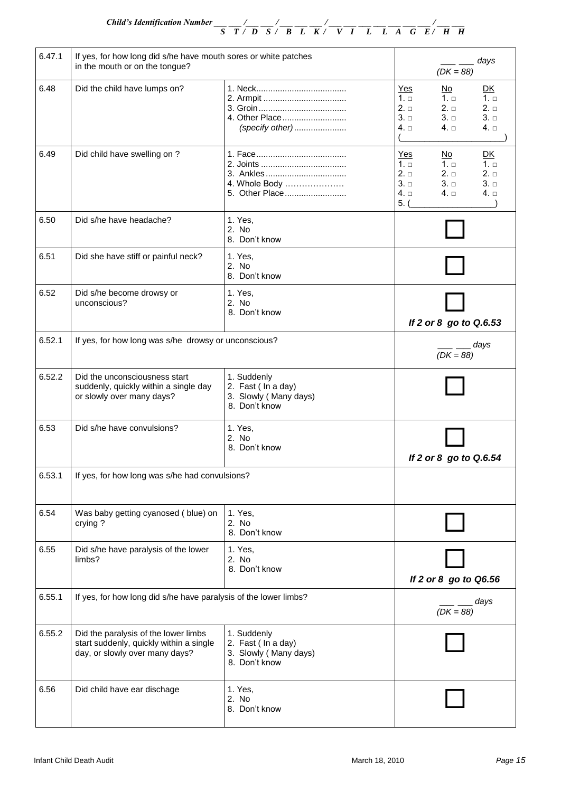| 6.47.1 | If yes, for how long did s/he have mouth sores or white patches<br>in the mouth or on the tongue?                 | days<br>$(DK = 88)$                                                         |                                                                                                                                                                                        |  |  |
|--------|-------------------------------------------------------------------------------------------------------------------|-----------------------------------------------------------------------------|----------------------------------------------------------------------------------------------------------------------------------------------------------------------------------------|--|--|
| 6.48   | Did the child have lumps on?                                                                                      | 4. Other Place<br>(specify other)                                           | Yes<br>No.<br>DK<br>$1. \Box$<br>$1. \Box$<br>$1. \Box$<br>$2. \square$<br>$2. \Box$<br>2. □<br>$3. \Box$<br>$3. \square$<br>$3. \square$<br>$4. \Box$<br>$4. \Box$<br>$4. \Box$       |  |  |
| 6.49   | Did child have swelling on?                                                                                       | 4. Whole Body<br>5. Other Place                                             | Yes<br>D <sub>K</sub><br>No<br>$1. \Box$<br>$1. \Box$<br>1. ⊓<br>$2. \square$<br>$2. \Box$<br>$2. \Box$<br>$3. \square$<br>$3. \Box$<br>$3. \Box$<br>$4. \Box$<br>4. □<br>4. □<br>5. ( |  |  |
| 6.50   | Did s/he have headache?                                                                                           | 1. Yes,<br>2. No<br>8. Don't know                                           |                                                                                                                                                                                        |  |  |
| 6.51   | Did she have stiff or painful neck?                                                                               | 1. Yes.<br>2. No<br>8. Don't know                                           |                                                                                                                                                                                        |  |  |
| 6.52   | Did s/he become drowsy or<br>unconscious?                                                                         | 1. Yes,<br>2. No<br>8. Don't know                                           |                                                                                                                                                                                        |  |  |
| 6.52.1 | If yes, for how long was s/he drowsy or unconscious?                                                              | days<br>$(DK = 88)$                                                         |                                                                                                                                                                                        |  |  |
| 6.52.2 | Did the unconsciousness start<br>suddenly, quickly within a single day<br>or slowly over many days?               | 1. Suddenly<br>2. Fast (In a day)<br>3. Slowly (Many days)<br>8. Don't know |                                                                                                                                                                                        |  |  |
| 6.53   | Did s/he have convulsions?                                                                                        | 1. Yes,<br>2. No<br>8. Don't know                                           | If 2 or 8 go to Q.6.54                                                                                                                                                                 |  |  |
| 6.53.1 | If yes, for how long was s/he had convulsions?                                                                    |                                                                             |                                                                                                                                                                                        |  |  |
| 6.54   | Was baby getting cyanosed (blue) on<br>crying?                                                                    | 1. Yes,<br>2. No<br>8. Don't know                                           |                                                                                                                                                                                        |  |  |
| 6.55   | Did s/he have paralysis of the lower<br>limbs?                                                                    | 1. Yes,<br>2. No<br>8. Don't know                                           | If 2 or 8 go to Q6.56                                                                                                                                                                  |  |  |
| 6.55.1 | If yes, for how long did s/he have paralysis of the lower limbs?                                                  | days<br>$(DK = 88)$                                                         |                                                                                                                                                                                        |  |  |
| 6.55.2 | Did the paralysis of the lower limbs<br>start suddenly, quickly within a single<br>day, or slowly over many days? | 1. Suddenly<br>2. Fast (In a day)<br>3. Slowly (Many days)<br>8. Don't know |                                                                                                                                                                                        |  |  |
| 6.56   | Did child have ear dischage                                                                                       | 1. Yes,<br>2. No<br>8. Don't know                                           |                                                                                                                                                                                        |  |  |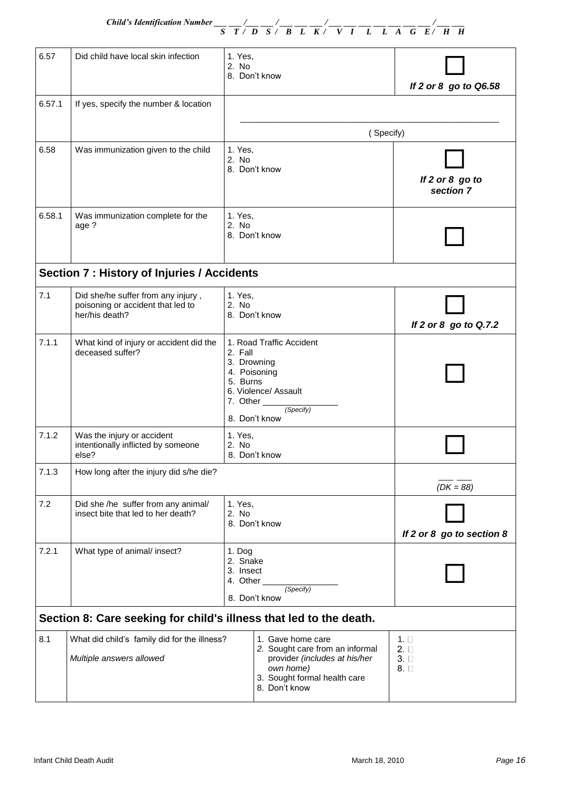| 6.57   | Did child have local skin infection                                                       | 1. Yes,<br>2. No                                                                                                                                 | 8. Don't know                                                                                                                                       | If 2 or 8 go to Q6.58                            |
|--------|-------------------------------------------------------------------------------------------|--------------------------------------------------------------------------------------------------------------------------------------------------|-----------------------------------------------------------------------------------------------------------------------------------------------------|--------------------------------------------------|
| 6.57.1 | If yes, specify the number & location                                                     |                                                                                                                                                  |                                                                                                                                                     |                                                  |
|        |                                                                                           |                                                                                                                                                  |                                                                                                                                                     |                                                  |
|        |                                                                                           |                                                                                                                                                  | (Specify)                                                                                                                                           |                                                  |
| 6.58   | Was immunization given to the child                                                       | 1. Yes,<br>2. No                                                                                                                                 | 8. Don't know                                                                                                                                       | If 2 or 8 go to<br>section 7                     |
| 6.58.1 | Was immunization complete for the<br>age?                                                 | 1. Yes,<br>2. No<br>8. Don't know                                                                                                                |                                                                                                                                                     |                                                  |
|        | Section 7 : History of Injuries / Accidents                                               |                                                                                                                                                  |                                                                                                                                                     |                                                  |
| 7.1    | Did she/he suffer from any injury,<br>poisoning or accident that led to<br>her/his death? | 1. Yes,<br>2. No                                                                                                                                 | 8. Don't know                                                                                                                                       | If 2 or 8 go to Q.7.2                            |
| 7.1.1  | What kind of injury or accident did the<br>deceased suffer?                               | 1. Road Traffic Accident<br>2. Fall<br>3. Drowning<br>4. Poisoning<br>5. Burns<br>6. Violence/ Assault<br>7. Other<br>(Specify)<br>8. Don't know |                                                                                                                                                     |                                                  |
| 7.1.2  | Was the injury or accident<br>intentionally inflicted by someone<br>else?                 | 1. Yes,<br>2. No<br>8. Don't know                                                                                                                |                                                                                                                                                     |                                                  |
| 7.1.3  | How long after the injury did s/he die?                                                   |                                                                                                                                                  |                                                                                                                                                     | $(DK = 88)$                                      |
| 7.2    | Did she /he suffer from any animal/<br>insect bite that led to her death?                 | 1. Yes,<br>2. No<br>8. Don't know                                                                                                                |                                                                                                                                                     | If 2 or 8 go to section 8                        |
| 7.2.1  | What type of animal/ insect?                                                              | 1. Dog<br>2. Snake<br>3. Insect<br>4. Other<br>(Specify)<br>8. Don't know                                                                        |                                                                                                                                                     |                                                  |
|        | Section 8: Care seeking for child's illness that led to the death.                        |                                                                                                                                                  |                                                                                                                                                     |                                                  |
| 8.1    | What did child's family did for the illness?<br>Multiple answers allowed                  |                                                                                                                                                  | 1. Gave home care<br>2. Sought care from an informal<br>provider (includes at his/her<br>own home)<br>3. Sought formal health care<br>8. Don't know | $1. \Box$<br>$2. \Box$<br>$3. \Box$<br>$8. \Box$ |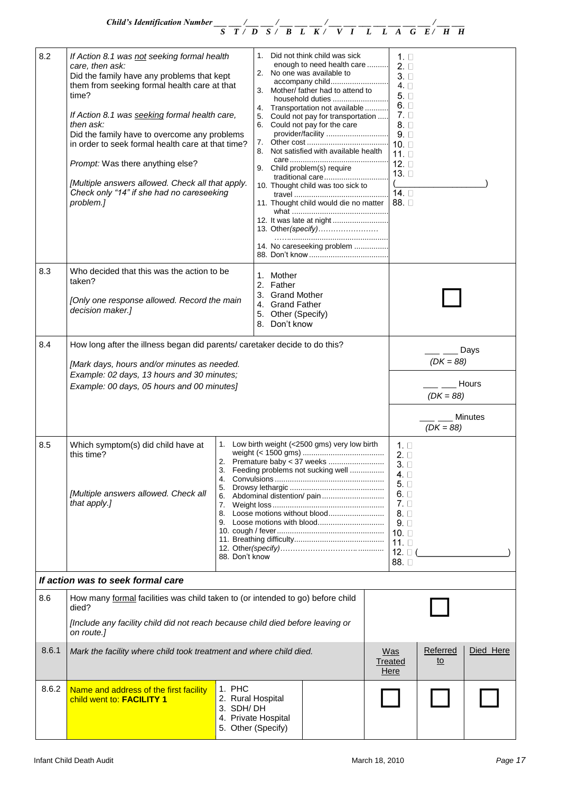*Child's Identification Number \_\_\_ \_\_\_ /\_\_\_ \_\_\_ / \_\_\_ \_\_\_ \_\_\_ / \_\_\_ \_\_\_ \_\_\_ \_\_\_ \_\_\_ \_\_\_ \_\_\_ / \_\_\_ \_\_\_*

 *S T / D S / B L K / V I L L A G E / H H* 8.2 *If Action 8.1 was not seeking formal health*  1. Did not think child was sick  $1<sub>1</sub>$ enough to need health care .......................... *care, then ask:* 2. No one was available to Did the family have any problems that kept No one was available to  $\begin{bmatrix} 3. \ \Box \end{bmatrix}$ them from seeking formal health care at that 4. 3. Mother/ father had to attend to time? household duties .......................................... 4. Transportation not available ........................... *If Action 8.1 was seeking formal health care,*  5. Could not pay for transportation ..................... *then ask:*  6. Could not pay for the care Did the family have to overcome any problems provider/facility ............................................. 7. Other cost ...................................................... in order to seek formal health care at that time? 8. Not satisfied with available health Not satisfied with available health  $|11\rangle$  11.  $\square$ *Prompt:* Was there anything else? 9. Child problem(s) require traditional care.............................................. *[Multiple answers allowed. Check all that apply.*   $\left(\begin{array}{ccc} \begin{array}{ccc} \begin{array}{ccc} \end{array} & \end{array} & \begin{array}{ccc} \end{array} & \end{array} & \begin{array}{ccc} \end{array} & \end{array} & \begin{array}{ccc} \end{array} & \end{array}$ 10. Thought child was too sick to *Check only "14" if she had no careseeking*  travel ............................................................ *problem.]* 11. Thought child would die no matter what ............................................................. 12. It was late at night .......................................... 13. Other*(specify)…………………… ……..............................................................* 14. No careseeking problem ............... 88. Don't know ..................................................... 8.3 Who decided that this was the action to be 1. Mother taken? 2. Father  $\Box$ 3. Grand Mother *[Only one response allowed. Record the main*  4. Grand Father *decision maker.]* 5. Other (Specify) 8. Don't know 8.4 | How long after the illness began did parents/ caretaker decide to do this? **\_\_ \_\_** Days  *(DK = 88) [Mark days, hours and/or minutes as needed. Example: 02 days, 13 hours and 30 minutes;*  **\_\_ \_\_** Hours *Example: 00 days, 05 hours and 00 minutes] (DK = 88)* **\_\_ \_\_** Minutes *(DK = 88)* 8.5 Which symptom(s) did child have at 1. Low birth weight (<2500 gms) very low birth  $1. \Box$ weight (< 1500 gms) ......................................  $2. \Box$ this time? 2. Premature baby < 37 weeks ...........................  $3. \Box$ 3. Feeding problems not sucking well ................ 4.  $\square$ 4. Convulsions ...................................................  $5. \Box$ 5. Drowsy lethargic ............................................ *[Multiple answers allowed. Check all*   $6. \Box$ 6. Abdominal distention/ pain ............................. *that apply.]* 7. Weight loss ....................................................  $7. \Box$ 8. Loose motions without blood.........................  $8. \Box$ 9. Loose motions with blood...............................  $9. \Box$ 10. cough / fever.................................................. 10.  $\square$ 11. Breathing difficulty.......................................... 11.  $\Box$ 12. Other*(specify)…………………………. ............* 12.  $\Box$  ( 88. Don't know 88. *If action was to seek formal care*  8.6  $\vert$  How many <u>formal</u> facilities was child taken to (or intended to go) before child died? *[Include any facility child did not reach because child died before leaving or on route.]* 8.6.1 *Mark the facility where child took treatment and where child died.* Was Referred Died Here to **Treated Here** 8.6.2 Name and address of the first facility 1. PHC  $\Box$   $\Box$   $\Box$   $\Box$ child went to: **FACILITY 1** 2. Rural Hospital 3. SDH/ DH 4. Private Hospital 5. Other (Specify)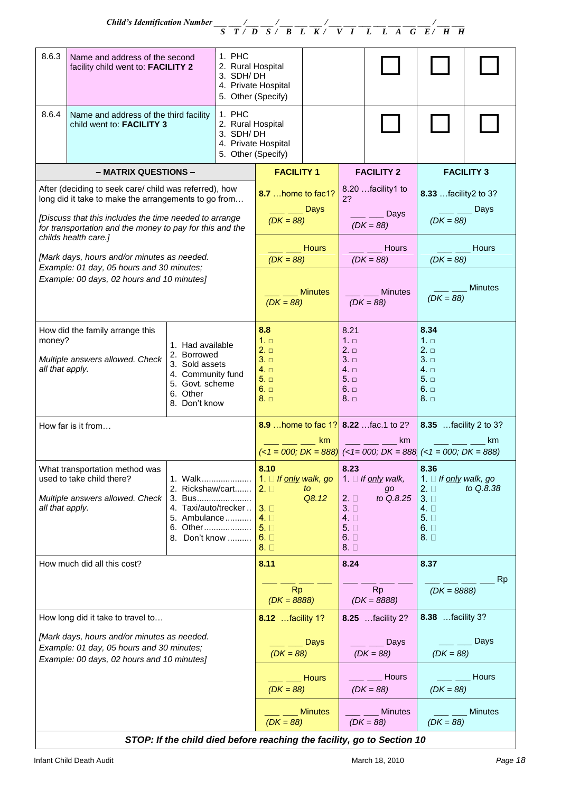|                                                                                                                                                                                                                                       | Child's Identification Number $\frac{1}{S}$ $\frac{1}{T}$ $\frac{1}{D}$ $\frac{1}{S}$ $\frac{1}{S}$ $\frac{1}{B}$ $\frac{1}{L}$ $\frac{1}{K}$ $\frac{1}{V}$ $\frac{1}{I}$ $\frac{1}{L}$ $\frac{1}{A}$ $\frac{1}{G}$ $\frac{1}{E}$ $\frac{1}{H}$ $\frac{1}{H}$ |                                                                                                        |                                                                                       |                                                                                                   |                                            |                                                                                                        |                                                                                         |                                       |                   |
|---------------------------------------------------------------------------------------------------------------------------------------------------------------------------------------------------------------------------------------|---------------------------------------------------------------------------------------------------------------------------------------------------------------------------------------------------------------------------------------------------------------|--------------------------------------------------------------------------------------------------------|---------------------------------------------------------------------------------------|---------------------------------------------------------------------------------------------------|--------------------------------------------|--------------------------------------------------------------------------------------------------------|-----------------------------------------------------------------------------------------|---------------------------------------|-------------------|
| 8.6.3                                                                                                                                                                                                                                 | Name and address of the second<br>facility child went to: FACILITY 2                                                                                                                                                                                          |                                                                                                        | 1. PHC<br>2. Rural Hospital<br>3. SDH/DH<br>4. Private Hospital<br>5. Other (Specify) |                                                                                                   |                                            |                                                                                                        |                                                                                         |                                       |                   |
| 8.6.4                                                                                                                                                                                                                                 | Name and address of the third facility<br>child went to: FACILITY 3                                                                                                                                                                                           |                                                                                                        | 1. PHC<br>2. Rural Hospital<br>3. SDH/DH<br>4. Private Hospital<br>5. Other (Specify) |                                                                                                   |                                            |                                                                                                        |                                                                                         |                                       |                   |
|                                                                                                                                                                                                                                       | - MATRIX QUESTIONS -                                                                                                                                                                                                                                          |                                                                                                        |                                                                                       | <b>FACILITY 1</b>                                                                                 |                                            |                                                                                                        | <b>FACILITY 2</b>                                                                       |                                       | <b>FACILITY 3</b> |
|                                                                                                                                                                                                                                       | After (deciding to seek care/ child was referred), how<br>long did it take to make the arrangements to go from<br>[Discuss that this includes the time needed to arrange<br>for transportation and the money to pay for this and the                          |                                                                                                        |                                                                                       | 8.7 home to fac1?<br>$(DK = 88)$                                                                  | Days                                       | 2?                                                                                                     | 8.20 facility1 to<br>Days<br>$(DK = 88)$                                                | 8.33  facility 2 to 3?<br>$(DK = 88)$ | Days              |
|                                                                                                                                                                                                                                       | childs health care.]<br>[Mark days, hours and/or minutes as needed.<br>Example: 01 day, 05 hours and 30 minutes;                                                                                                                                              |                                                                                                        |                                                                                       | $(DK = 88)$                                                                                       | <b>Hours</b>                               |                                                                                                        | <b>Hours</b><br>$(DK = 88)$                                                             | $(DK = 88)$                           | <b>Hours</b>      |
|                                                                                                                                                                                                                                       | Example: 00 days, 02 hours and 10 minutes]                                                                                                                                                                                                                    |                                                                                                        |                                                                                       | <b>Minutes</b><br>$(DK = 88)$                                                                     |                                            | <b>Minutes</b><br>$(DK = 88)$                                                                          |                                                                                         | <b>Minutes</b><br>$(DK = 88)$         |                   |
| How did the family arrange this<br>money?<br>1. Had available<br>2. Borrowed<br>Multiple answers allowed. Check<br>3. Sold assets<br>all that apply.<br>4. Community fund<br>5. Govt. scheme<br>6. Other<br>8. Don't know             |                                                                                                                                                                                                                                                               | 8.8<br>$1. \square$<br>$2. \Box$<br>$3. \square$<br>4. □<br>$5. \square$<br>6. □<br>8. □               |                                                                                       | 8.21<br>$1. \Box$<br>$2. \Box$<br>$3. \square$<br>4.<br>$5. \square$<br>$6. \Box$<br>$8. \square$ |                                            | 8.34<br>$1. \Box$<br>$2. \Box$<br>$3. \square$<br>4. □<br>5. n<br>$6. \square$<br>8. □                 |                                                                                         |                                       |                   |
|                                                                                                                                                                                                                                       | How far is it from                                                                                                                                                                                                                                            |                                                                                                        |                                                                                       | $(<1 = 000; DK = 888)$                                                                            | <b>km</b>                                  |                                                                                                        | 8.9  home to fac 1? 8.22  fac. 1 to 2?<br>km<br>$(1=000; DK = 888) (1 = 000; DK = 888)$ | 8.35  facility 2 to 3?                | km                |
| What transportation method was<br>used to take child there?<br>1. Walk<br>2. Rickshaw/cart<br>Multiple answers allowed. Check<br>Bus<br>3.<br>4. Taxi/auto/trecker<br>all that apply.<br>5. Ambulance<br>Other<br>6.<br>8. Don't know |                                                                                                                                                                                                                                                               | 8.10<br>1. $\Box$ If only walk, go<br>$2. \Box$<br>$3. \Box$<br>4. ⊟<br>$5. \Box$<br>$6. \Box$<br>8. ⊟ | to<br>Q8.12                                                                           | 8.23<br>$2. \Box$<br>$3. \Box$<br>$4. \Box$<br>$5. \Box$<br>$6. \Box$<br>$8. \Box$                | 1. $\Box$ If only walk,<br>go<br>to Q.8.25 | 8.36<br>1. $\Box$ If only walk, go<br>2. □<br>$3. \Box$<br>$4. \Box$<br>$5. \Box$<br>$6. \Box$<br>8. ⊟ | to Q.8.38                                                                               |                                       |                   |
| How much did all this cost?                                                                                                                                                                                                           |                                                                                                                                                                                                                                                               |                                                                                                        | 8.11<br><b>Rp</b><br>$(DK = 8888)$                                                    |                                                                                                   | 8.24                                       | <b>Rp</b><br>$(DK = 8888)$                                                                             | 8.37<br>$(DK = 8888)$                                                                   | <b>Rp</b>                             |                   |
|                                                                                                                                                                                                                                       | How long did it take to travel to                                                                                                                                                                                                                             |                                                                                                        |                                                                                       | 8.12  facility 1?                                                                                 |                                            |                                                                                                        | 8.25  facility 2?                                                                       | 8.38  facility 3?                     |                   |
| [Mark days, hours and/or minutes as needed.<br>Example: 01 day, 05 hours and 30 minutes;<br>Example: 00 days, 02 hours and 10 minutes]                                                                                                |                                                                                                                                                                                                                                                               |                                                                                                        | $(DK = 88)$                                                                           | <b>Days</b>                                                                                       |                                            | Days<br>$(DK = 88)$                                                                                    | $(DK = 88)$                                                                             | Days                                  |                   |
|                                                                                                                                                                                                                                       |                                                                                                                                                                                                                                                               |                                                                                                        |                                                                                       | $(DK = 88)$                                                                                       | <b>Hours</b>                               |                                                                                                        | <b>Hours</b><br>$(DK = 88)$                                                             | $(DK = 88)$                           | Hours             |
|                                                                                                                                                                                                                                       |                                                                                                                                                                                                                                                               |                                                                                                        |                                                                                       | $(DK = 88)$                                                                                       | <b>Minutes</b>                             |                                                                                                        | <b>Minutes</b><br>$(DK = 88)$                                                           | $(DK = 88)$                           | <b>Minutes</b>    |

*STOP: If the child died before reaching the facility, go to Section 10*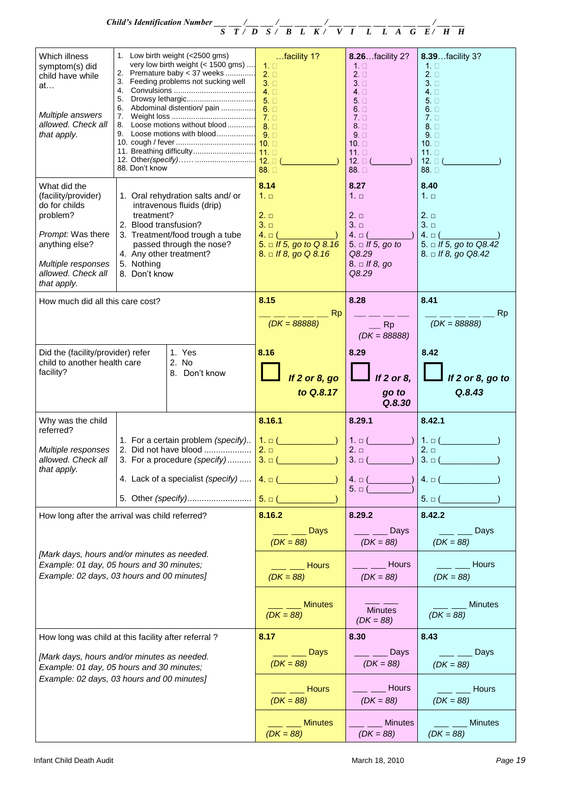| Which illness<br>symptom(s) did<br>child have while<br>at…<br>Multiple answers<br>allowed. Check all<br>that apply.                                                                      | 3.<br>4.<br>5.<br>6.<br>7.<br>8.<br>9.<br>88. Don't know                                                                         | 1. Low birth weight (<2500 gms)<br>very low birth weight (< 1500 gms)<br>2. Premature baby < 37 weeks<br>Feeding problems not sucking well<br>Abdominal distention/ pain<br>Loose motions without blood<br>Loose motions with blood | facility 1?<br>$1. \Box$<br>$2 \Box$<br>$3\Box$<br>$4$ $\Box$<br>$5. \Box$<br>$6. \Box$<br>$7. \Box$<br>$8. \Box$<br>$9$ $\Box$<br>$12. \Box$<br>$88$ $\Box$ | 8.26facility 2?<br>$1 \square$<br>$2. \Box$<br>$3 \Box$<br>4 □<br>$5\Box$<br>6. ⊟<br>$7\Box$<br>$8. \Box$<br>9.<br>$10. \Box$<br>$11. \square$<br>$12. \Box$<br>88. | 8.39facility 3?<br>$1. \Box$<br>$2. \Box$<br>$3 \Box$<br>4. $\square$<br>$5\Box$<br>6. ⊟<br>$7 \square$<br>$8. \Box$<br>9.<br>$10.$ $\Box$<br>$11. \square$<br>$12. \Box$<br>88. 口 |
|------------------------------------------------------------------------------------------------------------------------------------------------------------------------------------------|----------------------------------------------------------------------------------------------------------------------------------|-------------------------------------------------------------------------------------------------------------------------------------------------------------------------------------------------------------------------------------|--------------------------------------------------------------------------------------------------------------------------------------------------------------|---------------------------------------------------------------------------------------------------------------------------------------------------------------------|------------------------------------------------------------------------------------------------------------------------------------------------------------------------------------|
| What did the<br>(facility/provider)<br>do for childs<br>problem?<br>Prompt: Was there<br>anything else?<br>Multiple responses<br>allowed. Check all<br>that apply.                       | treatment?<br>2. Blood transfusion?<br>4. Any other treatment?<br>5. Nothing<br>8. Don't know                                    | 1. Oral rehydration salts and/ or<br>intravenous fluids (drip)<br>3. Treatment/food trough a tube<br>passed through the nose?                                                                                                       | 8.14<br>1. □<br>$2. \square$<br>$3. \square$<br>$4. \square$<br>$5. \Box$ If 5, go to Q 8.16<br>$8. \Box$ If 8, go Q 8.16                                    | 8.27<br>1. □<br>$2. \Box$<br>$3. \square$<br>4.<br>$5. \Box$ If 5, go to<br>Q8.29<br>$8. \Box$ If 8, go<br>Q8.29                                                    | 8.40<br>$1. \square$<br>2. □<br>$3. \square$<br>$4. \square$<br>5. □ If 5, go to Q8.42<br>8. □ If 8, go Q8.42                                                                      |
| How much did all this care cost?                                                                                                                                                         |                                                                                                                                  |                                                                                                                                                                                                                                     | 8.15<br><b>Rp</b><br>$(DK = 88888)$                                                                                                                          | 8.28<br>Rp<br>$(DK = 88888)$                                                                                                                                        | 8.41<br><b>Rp</b><br>$(DK = 88888)$                                                                                                                                                |
| facility?                                                                                                                                                                                | 1. Yes<br>Did the (facility/provider) refer<br>child to another health care<br>2. No<br>8. Don't know                            |                                                                                                                                                                                                                                     | 8.16<br>If 2 or 8, go<br>to Q.8.17                                                                                                                           | 8.29<br>If 2 or 8,<br>go to<br>Q.8.30                                                                                                                               | 8.42<br>If 2 or 8, go to<br>Q.8.43                                                                                                                                                 |
| Why was the child<br>referred?<br>Multiple responses<br>allowed. Check all<br>that apply.                                                                                                | 1. For a certain problem (specify)<br>2. Did not have blood<br>3. For a procedure (specify)<br>4. Lack of a specialist (specify) |                                                                                                                                                                                                                                     | 8.16.1<br>1. □ (<br>$2. \square$<br>3.<br>$4. \square$<br>$5. \square$                                                                                       | 8.29.1<br>1. □ (<br>$2. \Box$<br>$3. \Box$<br>4. $\Box$ (<br>$5. \square$                                                                                           | 8.42.1<br>$1. \square$<br>$2. \square$<br>$3. \square$<br>4. $\Box$ (<br>$5. \Box$ (                                                                                               |
| How long after the arrival was child referred?<br>[Mark days, hours and/or minutes as needed.<br>Example: 01 day, 05 hours and 30 minutes;<br>Example: 02 days, 03 hours and 00 minutes] |                                                                                                                                  |                                                                                                                                                                                                                                     | 8.16.2<br><b>Days</b><br>$(DK = 88)$<br>Hours<br>$(DK = 88)$                                                                                                 | 8.29.2<br>Days<br>$(DK = 88)$<br>Hours<br>$(DK = 88)$                                                                                                               | 8.42.2<br>Days<br>$(DK = 88)$<br>Hours<br>$(DK = 88)$                                                                                                                              |
|                                                                                                                                                                                          |                                                                                                                                  |                                                                                                                                                                                                                                     | <b>Minutes</b><br>$(DK = 88)$                                                                                                                                | <b>Minutes</b><br>$(DK = 88)$                                                                                                                                       | <b>Minutes</b><br>$(DK = 88)$                                                                                                                                                      |
| How long was child at this facility after referral?<br>[Mark days, hours and/or minutes as needed.<br>Example: 01 day, 05 hours and 30 minutes;                                          |                                                                                                                                  |                                                                                                                                                                                                                                     | 8.17<br>Days<br>$(DK = 88)$                                                                                                                                  | 8.30<br>Days<br>$(DK = 88)$                                                                                                                                         | 8.43<br>Days<br>$(DK = 88)$                                                                                                                                                        |
| Example: 02 days, 03 hours and 00 minutes]                                                                                                                                               |                                                                                                                                  |                                                                                                                                                                                                                                     | <b>Hours</b><br>$(DK = 88)$                                                                                                                                  | Hours<br>$(DK = 88)$                                                                                                                                                | Hours<br>$(DK = 88)$                                                                                                                                                               |
|                                                                                                                                                                                          |                                                                                                                                  |                                                                                                                                                                                                                                     | <b>Minutes</b><br>$(DK = 88)$                                                                                                                                | <b>Minutes</b><br>$(DK = 88)$                                                                                                                                       | <b>Minutes</b><br>$(DK = 88)$                                                                                                                                                      |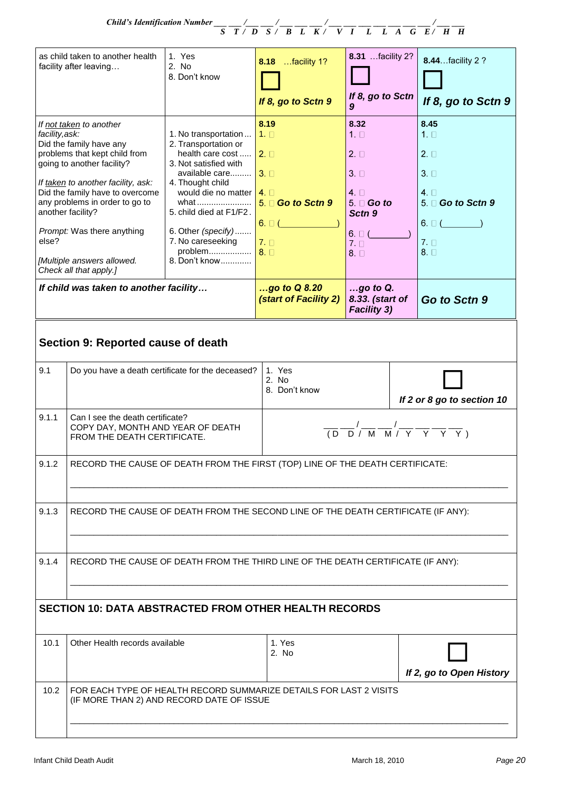|                                                                                                               | as child taken to another health<br>facility after leaving                                                                                                                                                                                                                                                                              | Child's Identification Number $\frac{1}{S}$ $\frac{1}{T}$ $\frac{1}{D}$ $\frac{1}{S}$ $\frac{1}{S}$ $\frac{1}{B}$ $\frac{1}{L}$ $\frac{1}{K}$ $\frac{1}{V}$ $\frac{1}{I}$ $\frac{1}{L}$ $\frac{1}{A}$ $\frac{1}{G}$ $\frac{1}{E}$ $\frac{1}{H}$ $\frac{1}{H}$<br>1. Yes<br>2. No<br>8. Don't know | 8.18  facility 1?<br>If 8, go to Sctn 9                                                                                                      | 8.31 facility 2?<br>If 8, go to Sctn<br>9                                                                                        |  | 8.44. facility 2 ?<br>If 8, go to Sctn 9                                                                                      |
|---------------------------------------------------------------------------------------------------------------|-----------------------------------------------------------------------------------------------------------------------------------------------------------------------------------------------------------------------------------------------------------------------------------------------------------------------------------------|---------------------------------------------------------------------------------------------------------------------------------------------------------------------------------------------------------------------------------------------------------------------------------------------------|----------------------------------------------------------------------------------------------------------------------------------------------|----------------------------------------------------------------------------------------------------------------------------------|--|-------------------------------------------------------------------------------------------------------------------------------|
| facility, ask:<br>else?                                                                                       | If not taken to another<br>Did the family have any<br>problems that kept child from<br>going to another facility?<br>If taken to another facility, ask:<br>Did the family have to overcome<br>any problems in order to go to<br>another facility?<br>Prompt: Was there anything<br>[Multiple answers allowed.<br>Check all that apply.] | 1. No transportation<br>2. Transportation or<br>health care cost<br>3. Not satisfied with<br>available care 3. □<br>4. Thought child<br>would die no matter $\boxed{4}$<br>5. child died at F1/F2.<br>6. Other (specify)<br>7. No careseeking<br>problem<br>8. Don't know                         | 8.19<br>$1. \Box$<br>$2. \Box$<br>what  5 □ Go to Sctn 9<br>6. $\Box$ (<br>$7. \Box$<br>$\overline{\phantom{a}}$ 8. $\overline{\phantom{a}}$ | 8.32<br>$1. \Box$<br>$2. \Box$<br>$3. \Box$<br>$4. \Box$<br>$5 \square$ Go to<br>Sctn 9<br>6. $\Box$ (<br>$7. \Box$<br>$8. \Box$ |  | 8.45<br>$1. \Box$<br>$2. \Box$<br>$3. \Box$<br>4. $\Box$<br>$5 \square$ Go to Sctn 9<br>$6. \Box$ (<br>$7. \Box$<br>$8. \Box$ |
| If child was taken to another facility                                                                        |                                                                                                                                                                                                                                                                                                                                         |                                                                                                                                                                                                                                                                                                   | go to $Q8.20$<br>(start of Facility 2)                                                                                                       | $$ go to Q.<br>8.33. (start of<br><b>Facility 3)</b>                                                                             |  | Go to Sctn 9                                                                                                                  |
| Section 9: Reported cause of death                                                                            |                                                                                                                                                                                                                                                                                                                                         |                                                                                                                                                                                                                                                                                                   |                                                                                                                                              |                                                                                                                                  |  |                                                                                                                               |
| 9.1                                                                                                           | Do you have a death certificate for the deceased?                                                                                                                                                                                                                                                                                       |                                                                                                                                                                                                                                                                                                   | 1. Yes<br>2. No<br>8. Don't know                                                                                                             |                                                                                                                                  |  | If 2 or 8 go to section 10                                                                                                    |
| 9.1.1<br>Can I see the death certificate?<br>COPY DAY, MONTH AND YEAR OF DEATH<br>FROM THE DEATH CERTIFICATE. |                                                                                                                                                                                                                                                                                                                                         |                                                                                                                                                                                                                                                                                                   |                                                                                                                                              |                                                                                                                                  |  | $\frac{1}{(D - D) / M - M / Y} \rightarrow \frac{1}{Y} \rightarrow \frac{1}{Y}$                                               |

9.1.2 | RECORD THE CAUSE OF DEATH FROM THE FIRST (TOP) LINE OF THE DEATH CERTIFICATE:

9.1.3 RECORD THE CAUSE OF DEATH FROM THE SECOND LINE OF THE DEATH CERTIFICATE (IF ANY):

 $\_$  ,  $\_$  ,  $\_$  ,  $\_$  ,  $\_$  ,  $\_$  ,  $\_$  ,  $\_$  ,  $\_$  ,  $\_$  ,  $\_$  ,  $\_$  ,  $\_$  ,  $\_$  ,  $\_$  ,  $\_$  ,  $\_$  ,  $\_$  ,  $\_$  ,  $\_$  ,  $\_$  ,  $\_$  ,  $\_$  ,  $\_$  ,  $\_$  ,  $\_$  ,  $\_$  ,  $\_$  ,  $\_$  ,  $\_$  ,  $\_$  ,  $\_$  ,  $\_$  ,  $\_$  ,  $\_$  ,  $\_$  ,  $\_$  ,

 $\_$  ,  $\_$  ,  $\_$  ,  $\_$  ,  $\_$  ,  $\_$  ,  $\_$  ,  $\_$  ,  $\_$  ,  $\_$  ,  $\_$  ,  $\_$  ,  $\_$  ,  $\_$  ,  $\_$  ,  $\_$  ,  $\_$  ,  $\_$  ,  $\_$  ,  $\_$  ,  $\_$  ,  $\_$  ,  $\_$  ,  $\_$  ,  $\_$  ,  $\_$  ,  $\_$  ,  $\_$  ,  $\_$  ,  $\_$  ,  $\_$  ,  $\_$  ,  $\_$  ,  $\_$  ,  $\_$  ,  $\_$  ,  $\_$  ,

 $\_$  ,  $\_$  ,  $\_$  ,  $\_$  ,  $\_$  ,  $\_$  ,  $\_$  ,  $\_$  ,  $\_$  ,  $\_$  ,  $\_$  ,  $\_$  ,  $\_$  ,  $\_$  ,  $\_$  ,  $\_$  ,  $\_$  ,  $\_$  ,  $\_$  ,  $\_$  ,  $\_$  ,  $\_$  ,  $\_$  ,  $\_$  ,  $\_$  ,  $\_$  ,  $\_$  ,  $\_$  ,  $\_$  ,  $\_$  ,  $\_$  ,  $\_$  ,  $\_$  ,  $\_$  ,  $\_$  ,  $\_$  ,  $\_$  ,

9.1.4 RECORD THE CAUSE OF DEATH FROM THE THIRD LINE OF THE DEATH CERTIFICATE (IF ANY):

## **SECTION 10: DATA ABSTRACTED FROM OTHER HEALTH RECORDS**

| 10.1              | Other Health records available                                                                                  | 1. Yes<br>2. No. |                          |
|-------------------|-----------------------------------------------------------------------------------------------------------------|------------------|--------------------------|
|                   |                                                                                                                 |                  | If 2, go to Open History |
| 10.2 <sup>2</sup> | FOR EACH TYPE OF HEALTH RECORD SUMMARIZE DETAILS FOR LAST 2 VISITS<br>(IF MORE THAN 2) AND RECORD DATE OF ISSUE |                  |                          |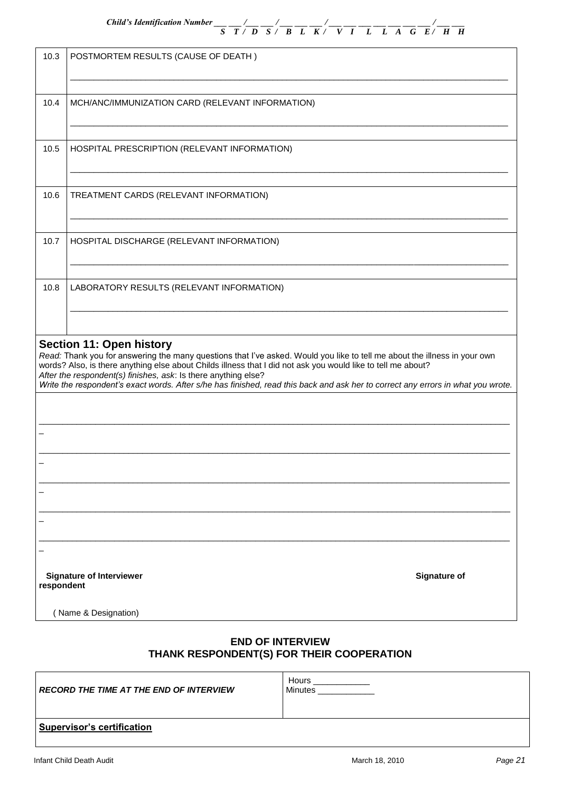*Child's Identification Number \_\_\_ \_\_\_ /\_\_\_ \_\_\_ / \_\_\_ \_\_\_ \_\_\_ / \_\_\_ \_\_\_ \_\_\_ \_\_\_ \_\_\_ \_\_\_ \_\_\_ / \_\_\_ \_\_\_ S T / D S / B L K / V I L L A G E / H H*

| 10.3       | POSTMORTEM RESULTS (CAUSE OF DEATH)                                                                                                                                                                                                                                          |
|------------|------------------------------------------------------------------------------------------------------------------------------------------------------------------------------------------------------------------------------------------------------------------------------|
| 10.4       | MCH/ANC/IMMUNIZATION CARD (RELEVANT INFORMATION)                                                                                                                                                                                                                             |
| 10.5       | HOSPITAL PRESCRIPTION (RELEVANT INFORMATION)                                                                                                                                                                                                                                 |
|            |                                                                                                                                                                                                                                                                              |
| 10.6       | TREATMENT CARDS (RELEVANT INFORMATION)                                                                                                                                                                                                                                       |
| 10.7       | HOSPITAL DISCHARGE (RELEVANT INFORMATION)                                                                                                                                                                                                                                    |
| 10.8       | LABORATORY RESULTS (RELEVANT INFORMATION)                                                                                                                                                                                                                                    |
|            | <b>Section 11: Open history</b><br>Read: Thank you for answering the many questions that I've asked. Would you like to tell me about the illness in your own<br>words? Also, is there anything else about Childs illness that I did not ask you would like to tell me about? |
|            | After the respondent(s) finishes, ask: Is there anything else?<br>Write the respondent's exact words. After s/he has finished, read this back and ask her to correct any errors in what you wrote.                                                                           |
|            |                                                                                                                                                                                                                                                                              |
|            |                                                                                                                                                                                                                                                                              |
|            |                                                                                                                                                                                                                                                                              |
|            |                                                                                                                                                                                                                                                                              |
|            |                                                                                                                                                                                                                                                                              |
|            |                                                                                                                                                                                                                                                                              |
| respondent | <b>Signature of Interviewer</b><br><b>Signature of</b>                                                                                                                                                                                                                       |
|            | (Name & Designation)                                                                                                                                                                                                                                                         |

## **END OF INTERVIEW THANK RESPONDENT(S) FOR THEIR COOPERATION**

| <b>RECORD THE TIME AT THE END OF INTERVIEW</b> | Hours<br><b>Minutes</b> |
|------------------------------------------------|-------------------------|
| <b>Supervisor's certification</b>              |                         |